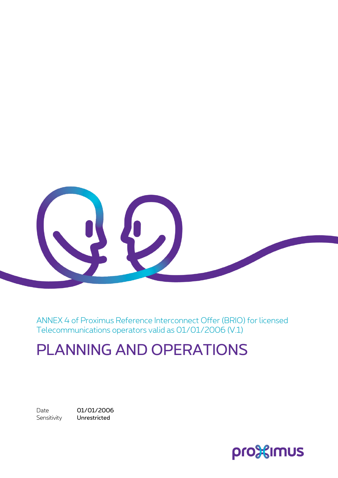

ANNEX 4 of Proximus Reference Interconnect Offer (BRIO) for licensed Telecommunications operators valid as 01/01/2006 (V.1)

# PLANNING AND OPERATIONS

Sensitivity **Unrestricted** 

Date 01/01/2006

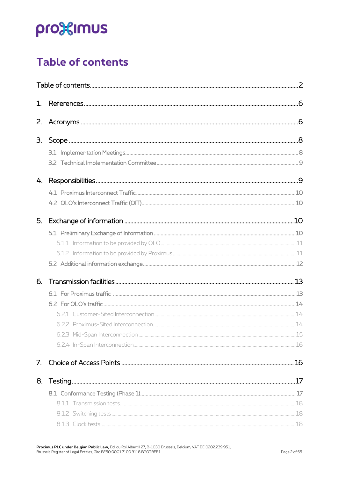## <span id="page-1-0"></span>**Table of contents**

| 1.          |  |
|-------------|--|
| $Z_{\rm c}$ |  |
| З.          |  |
|             |  |
|             |  |
| 4.          |  |
|             |  |
|             |  |
| 5.          |  |
|             |  |
|             |  |
|             |  |
|             |  |
| 6.          |  |
|             |  |
|             |  |
|             |  |
|             |  |
|             |  |
|             |  |
| 7.          |  |
| 8.          |  |
|             |  |
|             |  |
|             |  |
|             |  |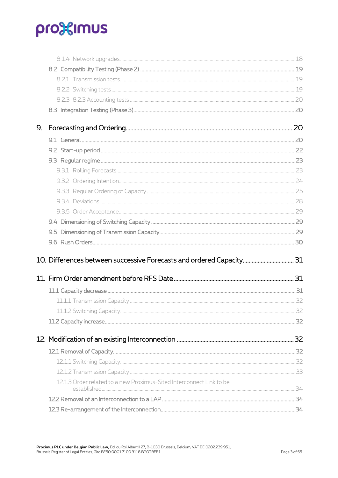| 9. |                                                                      |  |
|----|----------------------------------------------------------------------|--|
|    |                                                                      |  |
|    |                                                                      |  |
|    |                                                                      |  |
|    |                                                                      |  |
|    |                                                                      |  |
|    |                                                                      |  |
|    |                                                                      |  |
|    |                                                                      |  |
|    |                                                                      |  |
|    |                                                                      |  |
|    |                                                                      |  |
|    | 10. Differences between successive Forecasts and ordered Capacity 31 |  |
|    |                                                                      |  |
|    |                                                                      |  |
|    |                                                                      |  |
|    |                                                                      |  |
|    |                                                                      |  |
|    |                                                                      |  |
|    |                                                                      |  |
|    |                                                                      |  |
|    |                                                                      |  |
|    |                                                                      |  |
|    | 12.1.3 Order related to a new Proximus-Sited Interconnect Link to be |  |
|    |                                                                      |  |
|    |                                                                      |  |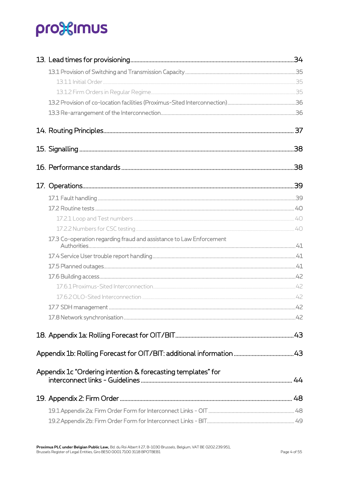|                                                                     | .38 |
|---------------------------------------------------------------------|-----|
|                                                                     |     |
|                                                                     |     |
|                                                                     |     |
|                                                                     |     |
|                                                                     |     |
| 17.3 Co-operation regarding fraud and assistance to Law Enforcement |     |
|                                                                     |     |
|                                                                     |     |
|                                                                     |     |
|                                                                     |     |
|                                                                     |     |
|                                                                     |     |
|                                                                     |     |
|                                                                     |     |
|                                                                     |     |
| Appendix 1c "Ordering intention & forecasting templates" for        |     |
|                                                                     |     |
|                                                                     |     |
|                                                                     |     |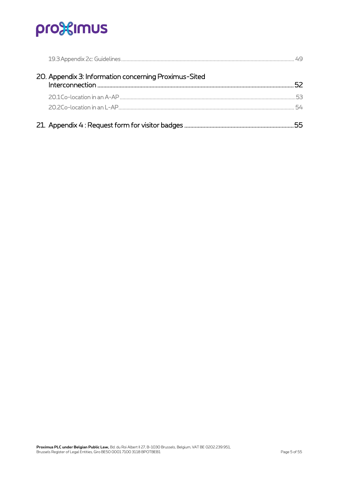| 20. Appendix 3: Information concerning Proximus-Sited | 52. |
|-------------------------------------------------------|-----|
|                                                       | 53  |
|                                                       | 54. |
|                                                       |     |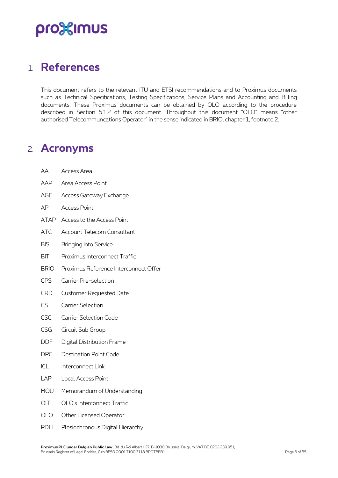## <span id="page-5-0"></span>1. **References**

This document refers to the relevant ITU and ETSI recommendations and to Proximus documents such as Technical Specifications, Testing Specifications, Service Plans and Accounting and Billing documents. These Proximus documents can be obtained by OLO according to the procedure described in Section 5.1.2 of this document. Throughout this document "OLO" means "other authorised Telecommuncations Operator" in the sense indicated in BRIO, chapter 1, footnote 2.

## <span id="page-5-1"></span>2. **Acronyms**

| АA          | Access Area                           |
|-------------|---------------------------------------|
| AAP         | Area Access Point                     |
| <b>AGE</b>  | Access Gateway Exchange               |
| AP          | <b>Access Point</b>                   |
| ATAP        | Access to the Access Point            |
| <b>ATC</b>  | <b>Account Telecom Consultant</b>     |
| <b>BIS</b>  | <b>Bringing into Service</b>          |
| <b>BIT</b>  | Proximus Interconnect Traffic         |
| <b>BRIO</b> | Proximus Reference Interconnect Offer |
| CPS         | Carrier Pre-selection                 |
| <b>CRD</b>  | <b>Customer Requested Date</b>        |
| CS          | <b>Carrier Selection</b>              |
| <b>CSC</b>  | <b>Carrier Selection Code</b>         |
| CSG         | Circuit Sub Group                     |
| <b>DDF</b>  | Digital Distribution Frame            |
| <b>DPC</b>  | <b>Destination Point Code</b>         |
| ICL         | Interconnect Link                     |
| LAP         | Local Access Point                    |
| MOU         | Memorandum of Understanding           |
| OIT         | OLO's Interconnect Traffic            |
| <b>OLO</b>  | Other Licensed Operator               |
| <b>PDH</b>  | Plesiochronous Digital Hierarchy      |

**Proximus PLC under Belgian Public Law,** Bd. du Roi Albert II 27, B-1030 Brussels, Belgium, VAT BE 0202.239.951, Brussels Register of Legal Entities, Giro BE50 0001 7100 3118 BPOTBEB1 Page 6 of 55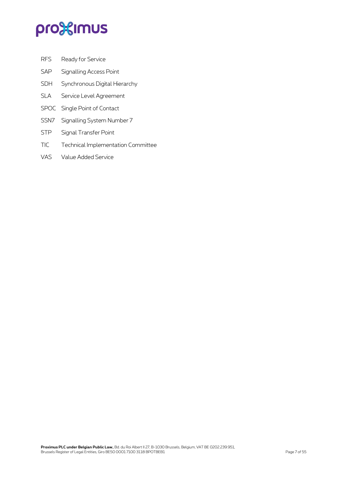- RFS Ready for Service
- SAP Signalling Access Point
- SDH Synchronous Digital Hierarchy
- SLA Service Level Agreement
- SPOC Single Point of Contact
- SSN7 Signalling System Number 7
- STP Signal Transfer Point
- TIC Technical Implementation Committee
- VAS Value Added Service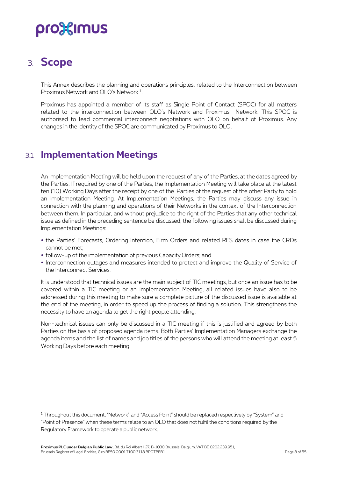## <span id="page-7-0"></span>3. **Scope**

This Annex describes the planning and operations principles, related to the Interconnection between Proximus Network and OLO's Network <sup>1</sup>.

Proximus has appointed a member of its staff as Single Point of Contact (SPOC) for all matters related to the interconnection between OLO's Network and Proximus Network. This SPOC is authorised to lead commercial interconnect negotiations with OLO on behalf of Proximus. Any changes in the identity of the SPOC are communicated by Proximus to OLO.

### <span id="page-7-1"></span>3.1 **Implementation Meetings**

An Implementation Meeting will be held upon the request of any of the Parties, at the dates agreed by the Parties. If required by one of the Parties, the Implementation Meeting will take place at the latest ten (10) Working Days after the receipt by one of the Parties of the request of the other Party to hold an Implementation Meeting. At Implementation Meetings, the Parties may discuss any issue in connection with the planning and operations of their Networks in the context of the Interconnection between them. In particular, and without prejudice to the right of the Parties that any other technical issue as defined in the preceding sentence be discussed, the following issues shall be discussed during Implementation Meetings:

- the Parties' Forecasts, Ordering Intention, Firm Orders and related RFS dates in case the CRDs cannot be met;
- follow-up of the implementation of previous Capacity Orders; and
- Interconnection outages and measures intended to protect and improve the Quality of Service of the Interconnect Services.

It is understood that technical issues are the main subject of TIC meetings, but once an issue has to be covered within a TIC meeting or an Implementation Meeting, all related issues have also to be addressed during this meeting to make sure a complete picture of the discussed issue is available at the end of the meeting, in order to speed up the process of finding a solution. This strengthens the necessity to have an agenda to get the right people attending.

Non-technical issues can only be discussed in a TIC meeting if this is justified and agreed by both Parties on the basis of proposed agenda items. Both Parties' Implementation Managers exchange the agenda items and the list of names and job titles of the persons who will attend the meeting at least 5 Working Days before each meeting.

<sup>&</sup>lt;sup>1</sup> Throughout this document, "Network" and "Access Point" should be replaced respectively by "System" and "Point of Presence" when these terms relate to an OLO that does not fulfil the conditions required by the Regulatory Framework to operate a public network.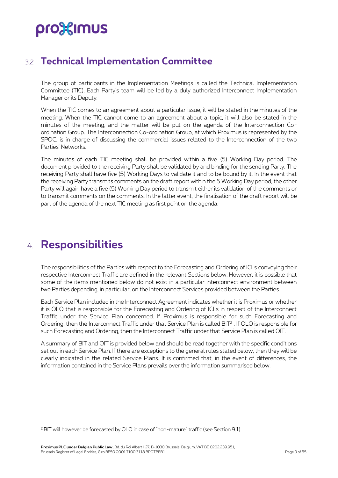## <span id="page-8-0"></span>3.2 **Technical Implementation Committee**

The group of participants in the Implementation Meetings is called the Technical Implementation Committee (TIC). Each Party's team will be led by a duly authorized Interconnect Implementation Manager or its Deputy.

When the TIC comes to an agreement about a particular issue, it will be stated in the minutes of the meeting. When the TIC cannot come to an agreement about a topic, it will also be stated in the minutes of the meeting, and the matter will be put on the agenda of the Interconnection Coordination Group. The Interconnection Co-ordination Group, at which Proximus is represented by the SPOC, is in charge of discussing the commercial issues related to the Interconnection of the two Parties' Networks.

The minutes of each TIC meeting shall be provided within a five (5) Working Day period. The document provided to the receiving Party shall be validated by and binding for the sending Party. The receiving Party shall have five (5) Working Days to validate it and to be bound by it. In the event that the receiving Party transmits comments on the draft report within the 5 Working Day period, the other Party will again have a five (5) Working Day period to transmit either its validation of the comments or to transmit comments on the comments. In the latter event, the finalisation of the draft report will be part of the agenda of the next TIC meeting as first point on the agenda.

## <span id="page-8-1"></span>4. **Responsibilities**

The responsibilities of the Parties with respect to the Forecasting and Ordering of ICLs conveying their respective Interconnect Traffic are defined in the relevant Sections below. However, it is possible that some of the items mentioned below do not exist in a particular interconnect environment between two Parties depending, in particular, on the Interconnect Services provided between the Parties.

Each Service Plan included in the Interconnect Agreement indicates whether it is Proximus or whether it is OLO that is responsible for the Forecasting and Ordering of ICLs in respect of the Interconnect Traffic under the Service Plan concerned. If Proximus is responsible for such Forecasting and Ordering, then the Interconnect Traffic under that Service Plan is called BIT<sup>2</sup> . If OLO is responsible for such Forecasting and Ordering, then the Interconnect Traffic under that Service Plan is called OIT.

A summary of BIT and OIT is provided below and should be read together with the specific conditions set out in each Service Plan. If there are exceptions to the general rules stated below, then they will be clearly indicated in the related Service Plans. It is confirmed that, in the event of differences, the information contained in the Service Plans prevails over the information summarised below.

<sup>2</sup> BIT will however be forecasted by OLO in case of "non-mature" traffic (see Section 9.1).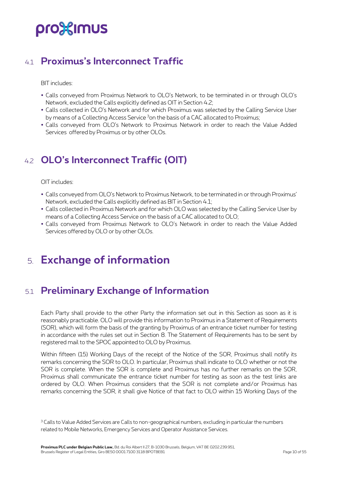## <span id="page-9-0"></span>4.1 **Proximus's Interconnect Traffic**

BIT includes:

- Calls conveyed from Proximus Network to OLO's Network, to be terminated in or through OLO's Network, excluded the Calls explicitly defined as OIT in Section 4.2;
- Calls collected in OLO's Network and for which Proximus was selected by the Calling Service User by means of a Collecting Access Service <sup>3</sup>on the basis of a CAC allocated to Proximus;
- <span id="page-9-1"></span> Calls conveyed from OLO's Network to Proximus Network in order to reach the Value Added Services offered by Proximus or by other OLOs.

## 4.2 **OLO's Interconnect Traffic (OIT)**

OIT includes:

- Calls conveyed from OLO's Network to Proximus Network, to be terminated in or through Proximus' Network, excluded the Calls explicitly defined as BIT in Section 4.1;
- Calls collected in Proximus Network and for which OLO was selected by the Calling Service User by means of a Collecting Access Service on the basis of a CAC allocated to OLO;
- <span id="page-9-2"></span> Calls conveyed from Proximus Network to OLO's Network in order to reach the Value Added Services offered by OLO or by other OLOs.

## 5. **Exchange of information**

## <span id="page-9-3"></span>5.1 **Preliminary Exchange of Information**

Each Party shall provide to the other Party the information set out in this Section as soon as it is reasonably practicable. OLO will provide this information to Proximus in a Statement of Requirements (SOR), which will form the basis of the granting by Proximus of an entrance ticket number for testing in accordance with the rules set out in Section 8. The Statement of Requirements has to be sent by registered mail to the SPOC appointed to OLO by Proximus.

Within fifteen (15) Working Days of the receipt of the Notice of the SOR, Proximus shall notify its remarks concerning the SOR to OLO. In particular, Proximus shall indicate to OLO whether or not the SOR is complete. When the SOR is complete and Proximus has no further remarks on the SOR, Proximus shall communicate the entrance ticket number for testing as soon as the test links are ordered by OLO. When Proximus considers that the SOR is not complete and/or Proximus has remarks concerning the SOR, it shall give Notice of that fact to OLO within 15 Working Days of the

<sup>&</sup>lt;sup>3</sup> Calls to Value Added Services are Calls to non-geographical numbers, excluding in particular the numbers related to Mobile Networks, Emergency Services and Operator Assistance Services.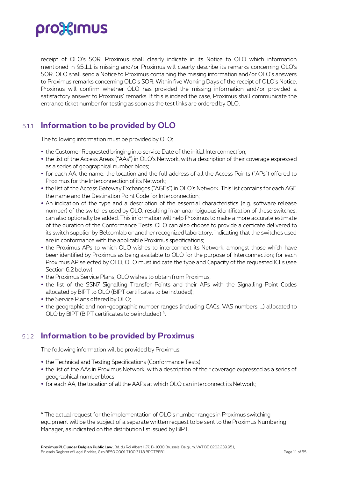

receipt of OLO's SOR. Proximus shall clearly indicate in its Notice to OLO which information mentioned in §5.1.1 is missing and/or Proximus will clearly describe its remarks concerning OLO's SOR. OLO shall send a Notice to Proximus containing the missing information and/or OLO's answers to Proximus remarks concerning OLO's SOR. Within five Working Days of the receipt of OLO's Notice, Proximus will confirm whether OLO has provided the missing information and/or provided a satisfactory answer to Proximus' remarks. If this is indeed the case, Proximus shall communicate the entrance ticket number for testing as soon as the test links are ordered by OLO.

### <span id="page-10-0"></span>5.1.1 **Information to be provided by OLO**

The following information must be provided by OLO:

- the Customer Requested bringing into service Date of the initial Interconnection;
- the list of the Access Areas ("AAs") in OLO's Network, with a description of their coverage expressed as a series of geographical number blocs;
- for each AA, the name, the location and the full address of all the Access Points ("APs") offered to Proximus for the Interconnection of its Network;
- the list of the Access Gateway Exchanges ("AGEs") in OLO's Network. This list contains for each AGE the name and the Destination Point Code for Interconnection;
- An indication of the type and a description of the essential characteristics (e.g. software release number) of the switches used by OLO, resulting in an unambiguous identification of these switches, can also optionally be added. This information will help Proximus to make a more accurate estimate of the duration of the Conformance Tests. OLO can also choose to provide a certicate delivered to its switch supplier by Belcomlab or another recognized laboratory, indicating that the switches used are in conformance with the applicable Proximus specifications;
- the Proximus APs to which OLO wishes to interconnect its Network, amongst those which have been identified by Proximus as being available to OLO for the purpose of Interconnection; for each Proximus AP selected by OLO, OLO must indicate the type and Capacity of the requested ICLs (see Section 6.2 below);
- the Proximus Service Plans, OLO wishes to obtain from Proximus;
- the list of the SSN7 Signalling Transfer Points and their APs with the Signalling Point Codes allocated by BIPT to OLO (BIPT certificates to be included);
- the Service Plans offered by OLO;
- <span id="page-10-1"></span> the geographic and non-geographic number ranges (including CACs, VAS numbers, …) allocated to OLO by BIPT (BIPT certificates to be included)<sup>4</sup>.

### 5.1.2 **Information to be provided by Proximus**

The following information will be provided by Proximus:

- the Technical and Testing Specifications (Conformance Tests);
- the list of the AAs in Proximus Network, with a description of their coverage expressed as a series of geographical number blocs;
- for each AA, the location of all the AAPs at which OLO can interconnect its Network;

<sup>4</sup> The actual request for the implementation of OLO's number ranges in Proximus switching equipment will be the subject of a separate written request to be sent to the Proximus Numbering Manager, as indicated on the distribution list issued by BIPT.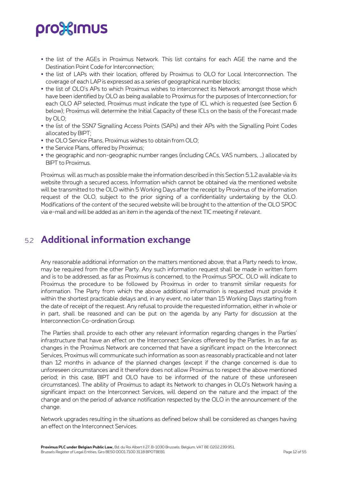- the list of the AGEs in Proximus Network. This list contains for each AGE the name and the Destination Point Code for Interconnection;
- the list of LAPs with their location, offered by Proximus to OLO for Local Interconnection. The coverage of each LAP is expressed as a series of geographical number blocks;
- the list of OLO's APs to which Proximus wishes to interconnect its Network amongst those which have been identified by OLO as being available to Proximus for the purposes of Interconnection; for each OLO AP selected, Proximus must indicate the type of ICL which is requested (see Section 6 below); Proximus will determine the Initial Capacity of these ICLs on the basis of the Forecast made by OLO;
- the list of the SSN7 Signalling Access Points (SAPs) and their APs with the Signalling Point Codes allocated by BIPT;
- the OLO Service Plans, Proximus wishes to obtain from OLO;
- the Service Plans, offered by Proximus;
- the geographic and non-geographic number ranges (including CACs, VAS numbers, …) allocated by BIPT to Proximus.

Proximus will as much as possible make the information described in this Section 5.1.2 available via its website through a secured access. Information which cannot be obtained via the mentioned website will be transmitted to the OLO within 5 Working Days after the receipt by Proximus of the information request of the OLO, subject to the prior signing of a confidentiality undertaking by the OLO. Modifications of the content of the secured website will be brought to the attention of the OLO SPOC via e-mail and will be added as an item in the agenda of the next TIC meeting if relevant.

## <span id="page-11-0"></span>5.2 **Additional information exchange**

Any reasonable additional information on the matters mentioned above, that a Party needs to know, may be required from the other Party. Any such information request shall be made in written form and is to be addressed, as far as Proximus is concerned, to the Proximus SPOC. OLO will indicate to Proximus the procedure to be followed by Proximus in order to transmit similar requests for information. The Party from which the above additional information is requested must provide it within the shortest practicable delays and, in any event, no later than 15 Working Days starting from the date of receipt of the request. Any refusal to provide the requested information, either in whole or in part, shall be reasoned and can be put on the agenda by any Party for discussion at the Interconnection Co-ordination Group.

The Parties shall provide to each other any relevant information regarding changes in the Parties' infrastructure that have an effect on the Interconnect Services offerered by the Parties. In as far as changes in the Proximus Network are concerned that have a significant impact on the Interconnect Services, Proximus will communicate such information as soon as reasonably practicable and not later than 12 months in advance of the planned changes (except if the change concerned is due to unforeseen circumstances and it therefore does not allow Proximus to respect the above mentioned period; in this case, BIPT and OLO have to be informed of the nature of these unforeseen circumstances). The ability of Proximus to adapt its Network to changes in OLO's Network having a significant impact on the Interconnect Services, will depend on the nature and the impact of the change and on the period of advance notification respected by the OLO in the announcement of the change.

Network upgrades resulting in the situations as defined below shall be considered as changes having an effect on the Interconnect Services.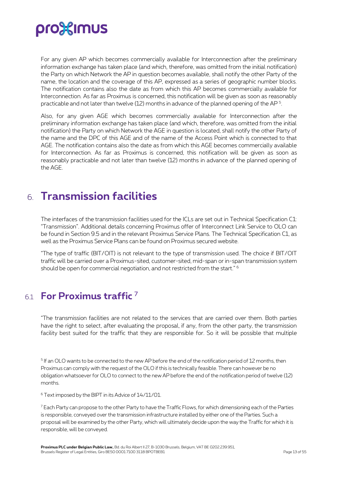For any given AP which becomes commercially available for Interconnection after the preliminary information exchange has taken place (and which, therefore, was omitted from the initial notification) the Party on which Network the AP in question becomes available, shall notify the other Party of the name, the location and the coverage of this AP, expressed as a series of geographic number blocks. The notification contains also the date as from which this AP becomes commercially available for Interconnection. As far as Proximus is concerned, this notification will be given as soon as reasonably practicable and not later than twelve (12) months in advance of the planned opening of the AP  $^{\rm 5}$ .

Also, for any given AGE which becomes commercially available for Interconnection after the preliminary information exchange has taken place (and which, therefore, was omitted from the initial notification) the Party on which Network the AGE in question is located, shall notify the other Party of the name and the DPC of this AGE and of the name of the Access Point which is connected to that AGE. The notification contains also the date as from which this AGE becomes commercially available for Interconnection. As far as Proximus is concerned, this notification will be given as soon as reasonably practicable and not later than twelve (12) months in advance of the planned opening of the AGE.

## <span id="page-12-0"></span>6. **Transmission facilities**

The interfaces of the transmission facilities used for the ICLs are set out in Technical Specification C1: "Transmission". Additional details concerning Proximus offer of Interconnect Link Service to OLO can be found in Section 9.5 and in the relevant Proximus Service Plans. The Technical Specification C1, as well as the Proximus Service Plans can be found on Proximus secured website.

"The type of traffic (BIT/OIT) is not relevant to the type of transmission used. The choice if BIT/OIT traffic will be carried over a Proximus-sited, customer-sited, mid-span or in-span transmission system should be open for commercial negotiation, and not restricted from the start." <sup>6</sup>

## <span id="page-12-1"></span>6.1 **For Proximus traffic** <sup>7</sup>

"The transmission facilities are not related to the services that are carried over them. Both parties have the right to select, after evaluating the proposal, if any, from the other party, the transmission facility best suited for the traffic that they are responsible for. So it will be possible that multiple

5 If an OLO wants to be connected to the new AP before the end of the notification period of 12 months, then Proximus can comply with the request of the OLO if this is technically feasible. There can however be no obligation whatsoever for OLO to connect to the new AP before the end of the notification period of twelve (12) months.

<sup>6</sup> Text imposed by the BIPT in its Advice of 14/11/01.

<sup>7</sup> Each Party can propose to the other Party to have the Traffic Flows, for which dimensioning each of the Parties is responsible, conveyed over the transmission infrastructure installed by either one of the Parties. Such a proposal will be examined by the other Party, which will ultimately decide upon the way the Traffic for which it is responsible, will be conveyed.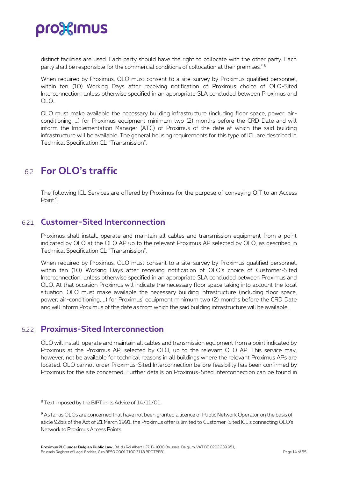

distinct facilities are used. Each party should have the right to collocate with the other party. Each party shall be responsible for the commercial conditions of collocation at their premises." <sup>8</sup>

When required by Proximus, OLO must consent to a site-survey by Proximus qualified personnel, within ten (10) Working Days after receiving notification of Proximus choice of OLO-Sited Interconnection, unless otherwise specified in an appropriate SLA concluded between Proximus and  $O<sub>1</sub>$ 

OLO must make available the necessary building infrastructure (including floor space, power, airconditioning, …) for Proximus equipment minimum two (2) months before the CRD Date and will inform the Implementation Manager (ATC) of Proximus of the date at which the said building infrastructure will be available. The general housing requirements for this type of ICL are described in Technical Specification C1: "Transmission".

### <span id="page-13-0"></span>6.2 **For OLO's traffic**

<span id="page-13-1"></span>The following ICL Services are offered by Proximus for the purpose of conveying OIT to an Access Point <sup>9</sup>.

#### 6.2.1 **Customer-Sited Interconnection**

Proximus shall install, operate and maintain all cables and transmission equipment from a point indicated by OLO at the OLO AP up to the relevant Proximus AP selected by OLO, as described in Technical Specification C1: "Transmission".

When required by Proximus, OLO must consent to a site-survey by Proximus qualified personnel, within ten (10) Working Days after receiving notification of OLO's choice of Customer-Sited Interconnection, unless otherwise specified in an appropriate SLA concluded between Proximus and OLO. At that occasion Proximus will indicate the necessary floor space taking into account the local situation. OLO must make available the necessary building infrastructure (including floor space, power, air-conditioning, …) for Proximus' equipment minimum two (2) months before the CRD Date and will inform Proximus of the date as from which the said building infrastructure will be available.

### <span id="page-13-2"></span>6.2.2 **Proximus-Sited Interconnection**

OLO will install, operate and maintain all cables and transmission equipment from a point indicated by Proximus at the Proximus AP, selected by OLO, up to the relevant OLO AP. This service may, however, not be available for technical reasons in all buildings where the relevant Proximus APs are located. OLO cannot order Proximus-Sited Interconnection before feasibility has been confirmed by Proximus for the site concerned. Further details on Proximus-Sited Interconnection can be found in

<sup>8</sup> Text imposed by the BIPT in its Advice of 14/11/01.

<sup>9</sup> As far as OLOs are concerned that have not been granted a licence of Public Network Operator on the basis of aticle 92bis of the Act of 21 March 1991, the Proximus offer is limited to Customer-Sited ICL's connecting OLO's Network to Proximus Access Points.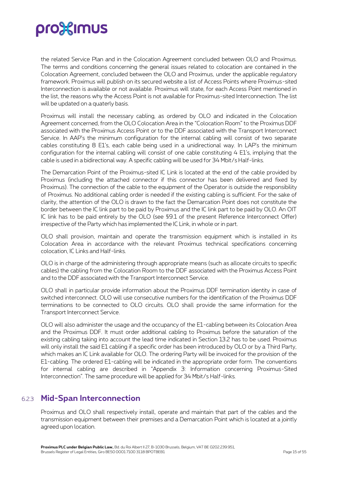the related Service Plan and in the Colocation Agreement concluded between OLO and Proximus. The terms and conditions concerning the general issues related to colocation are contained in the Colocation Agreement, concluded between the OLO and Proximus, under the applicable regulatory framework. Proximus will publish on its secured website a list of Access Points where Proximus-sited Interconnection is available or not available. Proximus will state, for each Access Point mentioned in the list, the reasons why the Access Point is not available for Proximus-sited Interconnection. The list will be updated on a quaterly basis.

Proximus will install the necessary cabling, as ordered by OLO and indicated in the Colocation Agreement concerned, from the OLO Colocation Area in the "Colocation Room" to the Proximus DDF associated with the Proximus Access Point or to the DDF associated with the Transport Interconnect Service. In AAP's the minimum configuration for the internal cabling will consist of two separate cables constituting 8 E1's, each cable being used in a unidirectional way. In LAP's the minimum configuration for the internal cabling will consist of one cable constituting 4 E1's, implying that the cable is used in a bidirectional way. A specific cabling will be used for 34 Mbit/s Half-links.

The Demarcation Point of the Proximus-sited IC Link is located at the end of the cable provided by Proximus (including the attached connector if this connector has been delivered and fixed by Proximus). The connection of the cable to the equipment of the Operator is outside the responsibility of Proximus. No additional cabling order is needed if the existing cabling is sufficient. For the sake of clarity, the attention of the OLO is drawn to the fact the Demarcation Point does not constitute the border between the IC link part to be paid by Proximus and the IC link part to be paid by OLO. An OIT IC link has to be paid entirely by the OLO (see §9.1 of the present Reference Interconnect Offer) irrespective of the Party which has implemented the IC Link, in whole or in part.

OLO shall provision, maintain and operate the transmission equipment which is installed in its Colocation Area in accordance with the relevant Proximus technical specifications concerning colocation, IC Links and Half-links.

OLO is in charge of the administering through appropriate means (such as allocate circuits to specific cables) the cabling from the Colocation Room to the DDF associated with the Proximus Access Point and to the DDF associated with the Transport Interconnect Service.

OLO shall in particular provide information about the Proximus DDF termination identity in case of switched interconnect. OLO will use consecutive numbers for the identification of the Proximus DDF terminations to be connected to OLO circuits. OLO shall provide the same information for the Transport Interconnect Service.

OLO will also administer the usage and the occupancy of the E1-cabling between its Colocation Area and the Proximus DDF. It must order additional cabling to Proximus before the saturation of the existing cabling taking into account the lead time indicated in Section 13.2 has to be used. Proximus will only install the said E1 cabling if a specific order has been introduced by OLO or by a Third Party, which makes an IC Link available for OLO. The ordering Party will be invoiced for the provision of the E1-cabling. The ordered E1-cabling will be indicated in the appropriate order form. The conventions for internal cabling are described in "Appendix 3: Information concerning Proximus-Sited Interconnection". The same procedure will be applied for 34 Mbit/s Half-links.

### <span id="page-14-0"></span>6.2.3 **Mid-Span Interconnection**

Proximus and OLO shall respectively install, operate and maintain that part of the cables and the transmission equipment between their premises and a Demarcation Point which is located at a jointly agreed upon location.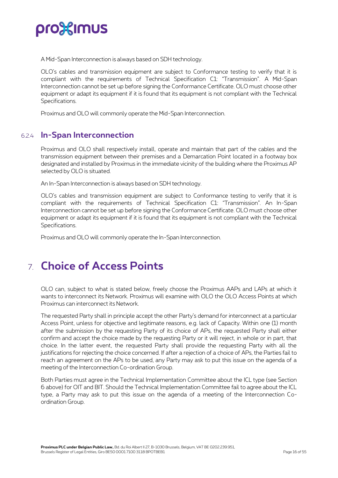

A Mid-Span Interconnection is always based on SDH technology.

OLO's cables and transmission equipment are subject to Conformance testing to verify that it is compliant with the requirements of Technical Specification C1: "Transmission". A Mid-Span Interconnection cannot be set up before signing the Conformance Certificate. OLO must choose other equipment or adapt its equipment if it is found that its equipment is not compliant with the Technical Specifications.

<span id="page-15-0"></span>Proximus and OLO will commonly operate the Mid-Span Interconnection.

### 6.2.4 **In-Span Interconnection**

Proximus and OLO shall respectively install, operate and maintain that part of the cables and the transmission equipment between their premises and a Demarcation Point located in a footway box designated and installed by Proximus in the immediate vicinity of the building where the Proximus AP selected by OLO is situated.

An In-Span Interconnection is always based on SDH technology.

OLO's cables and transmission equipment are subject to Conformance testing to verify that it is compliant with the requirements of Technical Specification C1: "Transmission". An In-Span Interconnection cannot be set up before signing the Conformance Certificate. OLO must choose other equipment or adapt its equipment if it is found that its equipment is not compliant with the Technical Specifications.

<span id="page-15-1"></span>Proximus and OLO will commonly operate the In-Span Interconnection.

## 7. **Choice of Access Points**

OLO can, subject to what is stated below, freely choose the Proximus AAPs and LAPs at which it wants to interconnect its Network. Proximus will examine with OLO the OLO Access Points at which Proximus can interconnect its Network.

The requested Party shall in principle accept the other Party's demand for interconnect at a particular Access Point, unless for objective and legitimate reasons, e.g. lack of Capacity. Within one (1) month after the submission by the requesting Party of its choice of APs, the requested Party shall either confirm and accept the choice made by the requesting Party or it will reject, in whole or in part, that choice. In the latter event, the requested Party shall provide the requesting Party with all the justifications for rejecting the choice concerned. If after a rejection of a choice of APs, the Parties fail to reach an agreement on the APs to be used, any Party may ask to put this issue on the agenda of a meeting of the Interconnection Co-ordination Group.

Both Parties must agree in the Technical Implementation Committee about the ICL type (see Section 6 above) for OIT and BIT. Should the Technical Implementation Committee fail to agree about the ICL type, a Party may ask to put this issue on the agenda of a meeting of the Interconnection Coordination Group.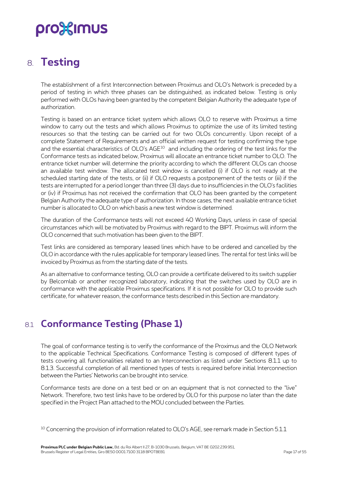## <span id="page-16-0"></span>8. **Testing**

The establishment of a first Interconnection between Proximus and OLO's Network is preceded by a period of testing in which three phases can be distinguished, as indicated below. Testing is only performed with OLOs having been granted by the competent Belgian Authority the adequate type of authorization.

Testing is based on an entrance ticket system which allows OLO to reserve with Proximus a time window to carry out the tests and which allows Proximus to optimize the use of its limited testing resources so that the testing can be carried out for two OLOs concurrently. Upon receipt of a complete Statement of Requirements and an official written request for testing confirming the type and the essential characteristics of OLO's  $\mathsf{AGE^{10}}$  and including the ordering of the test links for the Conformance tests as indicated below, Proximus will allocate an entrance ticket number to OLO. The entrance ticket number will determine the priority according to which the different OLOs can choose an available test window. The allocated test window is cancelled (i) if OLO is not ready at the scheduled starting date of the tests, or (ii) if OLO requests a postponement of the tests or (iii) if the tests are interrupted for a period longer than three (3) days due to insufficiencies in the OLO's facilities or (iv) if Proximus has not received the confirmation that OLO has been granted by the competent Belgian Authority the adequate type of authorization. In those cases, the next available entrance ticket number is allocated to OLO on which basis a new test window is determined.

The duration of the Conformance tests will not exceed 40 Working Days, unless in case of special circumstances which will be motivated by Proximus with regard to the BIPT. Proximus will inform the OLO concerned that such motivation has been given to the BIPT.

Test links are considered as temporary leased lines which have to be ordered and cancelled by the OLO in accordance with the rules applicable for temporary leased lines. The rental for test links will be invoiced by Proximus as from the starting date of the tests.

As an alternative to conformance testing, OLO can provide a certificate delivered to its switch supplier by Belcomlab or another recognized laboratory, indicating that the switches used by OLO are in conformance with the applicable Proximus specifications. If it is not possible for OLO to provide such certificate, for whatever reason, the conformance tests described in this Section are mandatory.

## <span id="page-16-1"></span>8.1 **Conformance Testing (Phase 1)**

The goal of conformance testing is to verify the conformance of the Proximus and the OLO Network to the applicable Technical Specifications. Conformance Testing is composed of different types of tests covering all functionalities related to an Interconnection as listed under Sections 8.1.1 up to 8.1.3. Successful completion of all mentioned types of tests is required before initial Interconnection between the Parties' Networks can be brought into service.

Conformance tests are done on a test bed or on an equipment that is not connected to the "live" Network. Therefore, two test links have to be ordered by OLO for this purpose no later than the date specified in the Project Plan attached to the MOU concluded between the Parties.

<sup>&</sup>lt;sup>10</sup> Concerning the provision of information related to OLO's AGE, see remark made in Section 5.1.1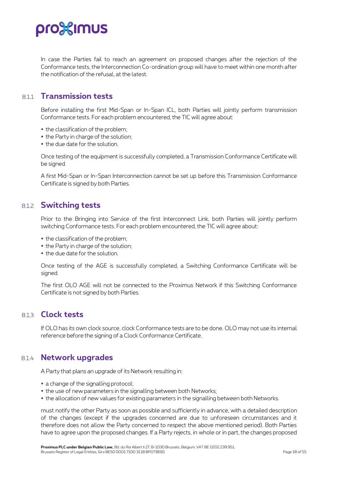

In case the Parties fail to reach an agreement on proposed changes after the rejection of the Conformance tests, the Interconnection Co-ordination group will have to meet within one month after the notification of the refusal, at the latest.

#### <span id="page-17-0"></span>8.1.1 **Transmission tests**

Before installing the first Mid-Span or In-Span ICL, both Parties will jointly perform transmission Conformance tests. For each problem encountered, the TIC will agree about:

- the classification of the problem;
- the Party in charge of the solution:
- the due date for the solution.

Once testing of the equipment is successfully completed, a Transmission Conformance Certificate will be signed.

<span id="page-17-1"></span>A first Mid-Span or In-Span Interconnection cannot be set up before this Transmission Conformance Certificate is signed by both Parties.

### 8.1.2 **Switching tests**

Prior to the Bringing into Service of the first Interconnect Link, both Parties will jointly perform switching Conformance tests. For each problem encountered, the TIC will agree about:

- the classification of the problem;
- the Party in charge of the solution;
- the due date for the solution.

Once testing of the AGE is successfully completed, a Switching Conformance Certificate will be signed.

<span id="page-17-2"></span>The first OLO AGE will not be connected to the Proximus Network if this Switching Conformance Certificate is not signed by both Parties.

#### 8.1.3 **Clock tests**

<span id="page-17-3"></span>If OLO has its own clock source, clock Conformance tests are to be done. OLO may not use its internal reference before the signing of a Clock Conformance Certificate.

#### 8.1.4 **Network upgrades**

A Party that plans an upgrade of its Network resulting in:

- a change of the signalling protocol;
- the use of new parameters in the signalling between both Networks;
- the allocation of new values for existing parameters in the signalling between both Networks.

must notify the other Party as soon as possible and sufficiently in advance, with a detailed description of the changes (except if the upgrades concerned are due to unforeseen circumstances and it therefore does not allow the Party concerned to respect the above mentioned period). Both Parties have to agree upon the proposed changes. If a Party rejects, in whole or in part, the changes proposed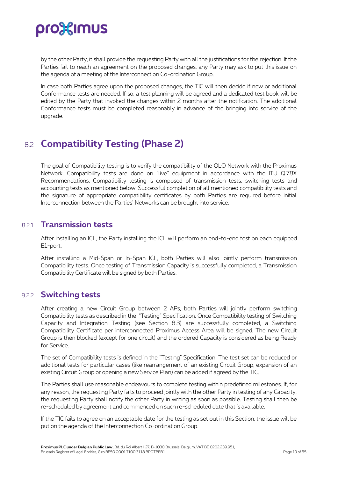by the other Party, it shall provide the requesting Party with all the justifications for the rejection. If the Parties fail to reach an agreement on the proposed changes, any Party may ask to put this issue on the agenda of a meeting of the Interconnection Co-ordination Group.

In case both Parties agree upon the proposed changes, the TIC will then decide if new or additional Conformance tests are needed. If so, a test planning will be agreed and a dedicated test book will be edited by the Party that invoked the changes within 2 months after the notification. The additional Conformance tests must be completed reasonably in advance of the bringing into service of the upgrade.

## <span id="page-18-0"></span>8.2 **Compatibility Testing (Phase 2)**

The goal of Compatibility testing is to verify the compatibility of the OLO Network with the Proximus Network. Compatibility tests are done on "live" equipment in accordance with the ITU Q.78X Recommendations. Compatibility testing is composed of transmission tests, switching tests and accounting tests as mentioned below. Successful completion of all mentioned compatibility tests and the signature of appropriate compatibility certificates by both Parties are required before initial Interconnection between the Parties' Networks can be brought into service.

### <span id="page-18-1"></span>8.2.1 **Transmission tests**

After installing an ICL, the Party installing the ICL will perform an end-to-end test on each equipped E1-port.

After installing a Mid-Span or In-Span ICL, both Parties will also jointly perform transmission Compatibility tests. Once testing of Transmission Capacity is successfully completed, a Transmission Compatibility Certificate will be signed by both Parties.

### <span id="page-18-2"></span>8.2.2 **Switching tests**

After creating a new Circuit Group between 2 APs, both Parties will jointly perform switching Compatibility tests as described in the "Testing" Specification. Once Compatibility testing of Switching Capacity and Integration Testing (see Section 8.3) are successfully completed, a Switching Compatibility Certificate per interconnected Proximus Access Area will be signed. The new Circuit Group is then blocked (except for one circuit) and the ordered Capacity is considered as being Ready for Service.

The set of Compatibility tests is defined in the "Testing" Specification. The test set can be reduced or additional tests for particular cases (like rearrangement of an existing Circuit Group, expansion of an existing Circuit Group or opening a new Service Plan) can be added if agreed by the TIC.

The Parties shall use reasonable endeavours to complete testing within predefined milestones. If, for any reason, the requesting Party fails to proceed jointly with the other Party in testing of any Capacity, the requesting Party shall notify the other Party in writing as soon as possible. Testing shall then be re-scheduled by agreement and commenced on such re-scheduled date that is available.

If the TIC fails to agree on an acceptable date for the testing as set out in this Section, the issue will be put on the agenda of the Interconnection Co-ordination Group.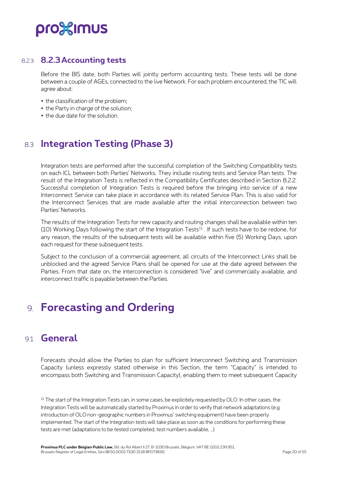### 8.2.3 **8.2.3Accounting tests**

<span id="page-19-0"></span>Before the BIS date, both Parties will jointly perform accounting tests. These tests will be done between a couple of AGEs, connected to the live Network. For each problem encountered, the TIC will agree about:

- the classification of the problem;
- the Party in charge of the solution;
- <span id="page-19-1"></span>the due date for the solution.

## 8.3 **Integration Testing (Phase 3)**

Integration tests are performed after the successful completion of the Switching Compatibility tests on each ICL between both Parties' Networks. They include routing tests and Service Plan tests. The result of the Integration Tests is reflected in the Compatibility Certificates described in Section 8.2.2. Successful completion of Integration Tests is required before the bringing into service of a new Interconnect Service can take place in accordance with its related Service Plan. This is also valid for the Interconnect Services that are made available after the initial interconnection between two Parties' Networks.

The results of the Integration Tests for new capacity and routing changes shall be available within ten (10) Working Days following the start of the Integration Tests<sup>11</sup>. If such tests have to be redone, for any reason, the results of the subsequent tests will be available within five (5) Working Days, upon each request for these subsequent tests.

Subject to the conclusion of a commercial agreement, all circuits of the Interconnect Links shall be unblocked and the agreed Service Plans shall be opened for use at the date agreed between the Parties. From that date on, the interconnection is considered "live" and commercially available, and interconnect traffic is payable between the Parties.

## <span id="page-19-2"></span>9. **Forecasting and Ordering**

## <span id="page-19-3"></span>9.1 **General**

Forecasts should allow the Parties to plan for sufficient Interconnect Switching and Transmission Capacity (unless expressly stated otherwise in this Section, the term "Capacity" is intended to encompass both Switching and Transmission Capacity), enabling them to meet subsequent Capacity

<sup>11</sup> The start of the Integration Tests can, in some cases, be explicitely requested by OLO. In other cases, the Integration Tests will be automatically started by Proximus in order to verify that network adaptations (e.g. introduction of OLO non-geographic numbers in Proximus' switching equipment) have been properly implemented. The start of the Integration tests will take place as soon as the conditions for performing these tests are met (adaptations to be tested completed, test numbers available, …)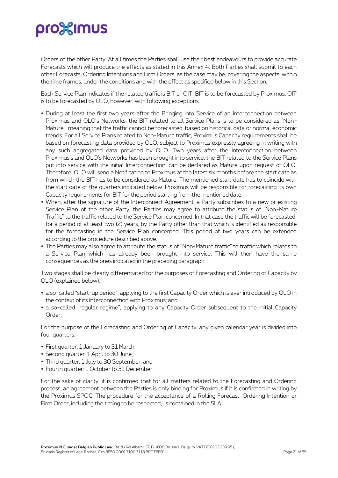Orders of the other Party. At all times the Parties shall use their best endeavours to provide accurate Forecasts which will produce the effects as stated in this Annex 4. Both Parties shall submit to each other Forecasts, Ordering Intentions and Firm Orders, as the case may be, covering the aspects, within the time frames, under the conditions and with the effect as specified below in this Section.

Each Service Plan indicates if the related traffic is BIT or OIT. BIT is to be forecasted by Proximus; OIT is to be forecasted by OLO, however, with following exceptions:

- During at least the first two years after the Bringing into Service of an Interconnection between Proximus and OLO's Networks, the BIT related to all Service Plans is to be considered as "Non-Mature", meaning that the traffic cannot be forecasted, based on historical data or normal economic trends. For all Service Plans related to Non-Mature traffic, Proximus Capacity requirements shall be based on forecasting data provided by OLO, subject to Proximus expressly agreeing in writing with any such aggregated data provided by OLO. Two years after the Interconnection between Proximus's and OLO's Networks has been brought into service, the BIT related to the Service Plans put into service with the initial Interconnection, can be declared as Mature upon request of OLO. Therefore, OLO will send a Notification to Proximus at the latest six months before the start date as from which the BIT has to be considered as Mature. The mentioned start date has to coïncide with the start date of the quarters indicated below. Proximus will be responsible for forecasting its own Capacity requirements for BIT for the period starting from the mentioned date.
- When, after the signature of the Interconnect Agreement, a Party subscribes to a new or existing Service Plan of the other Party, the Parties may agree to attribute the status of "Non-Mature Traffic" to the traffic related to the Service Plan concerned. In that case the traffic will be forecasted, for a period of at least two (2) years, by the Party other than that which is identified as responsible for the forecasting in the Service Plan concerned. This period of two years can be extended according to the procedure described above.
- The Parties may also agree to attribute the status of "Non-Mature traffic" to traffic which relates to a Service Plan which has already been brought into service. This will then have the same consequences as the ones indicated in the preceding paragraph.

Two stages shall be clearly differentiated for the purposes of Forecasting and Ordering of Capacity by OLO (explained below):

- a so-called "start-up period", applying to the first Capacity Order which is ever introduced by OLO in the context of its Interconnection with Proximus; and
- a so-called "regular regime", applying to any Capacity Order subsequent to the Initial Capacity Order.

For the purpose of the Forecasting and Ordering of Capacity, any given calendar year is divided into four quarters:

- First quarter: 1 January to 31 March;
- Second quarter: 1 April to 30 June;
- Third quarter: 1 July to 30 September; and
- Fourth quarter: 1 October to 31 December.

For the sake of clarity, it is confirmed that for all matters related to the Forecasting and Ordering process, an agreement between the Parties is only binding for Proximus if it is confirmed in writing by the Proximus SPOC. The procedure for the acceptance of a Rolling Forecast, Ordering Intention or Firm Order, including the timing to be respected, is contained in the SLA.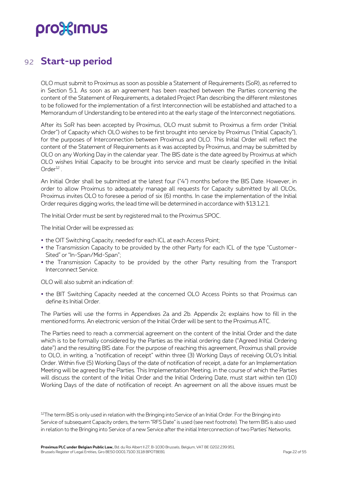### <span id="page-21-0"></span>9.2 **Start-up period**

OLO must submit to Proximus as soon as possible a Statement of Requirements (SoR), as referred to in Section 5.1. As soon as an agreement has been reached between the Parties concerning the content of the Statement of Requirements, a detailed Project Plan describing the different milestones to be followed for the implementation of a first Interconnection will be established and attached to a Memorandum of Understanding to be entered into at the early stage of the Interconnect negotiations.

After its SoR has been accepted by Proximus, OLO must submit to Proximus a firm order ("Initial Order") of Capacity which OLO wishes to be first brought into service by Proximus ("Initial Capacity"), for the purposes of Interconnection between Proximus and OLO. This Initial Order will reflect the content of the Statement of Requirements as it was accepted by Proximus, and may be submitted by OLO on any Working Day in the calendar year. The BIS date is the date agreed by Proximus at which OLO wishes Initial Capacity to be brought into service and must be clearly specified in the Initial  $Order<sup>12</sup>$ .

An Initial Order shall be submitted at the latest four ("4") months before the BIS Date. However, in order to allow Proximus to adequately manage all requests for Capacity submitted by all OLOs, Proximus invites OLO to foresee a period of six (6) months. In case the implementation of the Initial Order requires digging works, the lead time will be determined in accordance with §13.1.2.1.

The Initial Order must be sent by registered mail to the Proximus SPOC.

The Initial Order will be expressed as:

- the OIT Switching Capacity, needed for each ICL at each Access Point;
- the Transmission Capacity to be provided by the other Party for each ICL of the type "Customer-Sited" or "In-Span/Mid-Span";
- the Transmission Capacity to be provided by the other Party resulting from the Transport Interconnect Service.

OLO will also submit an indication of:

 the BIT Switching Capacity needed at the concerned OLO Access Points so that Proximus can define its Initial Order.

The Parties will use the forms in Appendixes 2a and 2b. Appendix 2c explains how to fill in the mentioned forms. An electronic version of the Initial Order will be sent to the Proximus ATC.

The Parties need to reach a commercial agreement on the content of the Initial Order and the date which is to be formally considered by the Parties as the initial ordering date ("Agreed Initial Ordering date") and the resulting BIS date. For the purpose of reaching this agreement, Proximus shall provide to OLO, in writing, a "notification of receipt" within three (3) Working Days of receiving OLO's Initial Order. Within five (5) Working Days of the date of notification of receipt, a date for an Implementation Meeting will be agreed by the Parties. This Implementation Meeting, in the course of which the Parties will discuss the content of the Initial Order and the Initial Ordering Date, must start within ten (10) Working Days of the date of notification of receipt. An agreement on all the above issues must be

<sup>12</sup>The term BIS is only used in relation with the Bringing into Service of an Initial Order. For the Bringing into Service of subsequent Capacity orders, the term "RFS Date" is used (see next footnote). The term BIS is also used in relation to the Bringing into Service of a new Service after the initial Interconnection of two Parties' Networks.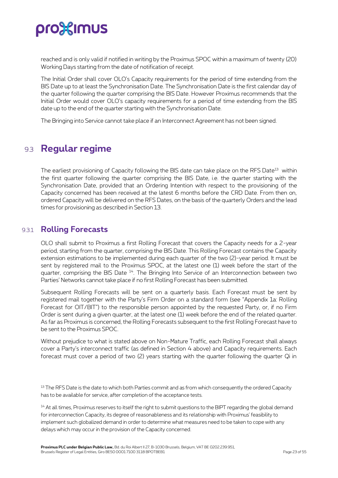reached and is only valid if notified in writing by the Proximus SPOC within a maximum of twenty (20) Working Days starting from the date of notification of receipt.

The Initial Order shall cover OLO's Capacity requirements for the period of time extending from the BIS Date up to at least the Synchronisation Date. The Synchronisation Date is the first calendar day of the quarter following the quarter comprising the BIS Date. However Proximus recommends that the Initial Order would cover OLO's capacity requirements for a period of time extending from the BIS date up to the end of the quarter starting with the Synchronisation Date.

<span id="page-22-0"></span>The Bringing into Service cannot take place if an Interconnect Agreement has not been signed.

### 9.3 **Regular regime**

The earliest provisioning of Capacity following the BIS date can take place on the RFS Date<sup>13</sup> within the first quarter following the quarter comprising the BIS Date, i.e. the quarter starting with the Synchronisation Date, provided that an Ordering Intention with respect to the provisioning of the Capacity concerned has been received at the latest 6 months before the CRD Date. From then on, ordered Capacity will be delivered on the RFS Dates, on the basis of the quarterly Orders and the lead times for provisioning as described in Section 13.

### <span id="page-22-1"></span>9.3.1 **Rolling Forecasts**

OLO shall submit to Proximus a first Rolling Forecast that covers the Capacity needs for a 2-year period, starting from the quarter, comprising the BIS Date. This Rolling Forecast contains the Capacity extension estimations to be implemented during each quarter of the two (2)-year period. It must be sent by registered mail to the Proximus SPOC, at the latest one (1) week before the start of the quarter, comprising the BIS Date <sup>14</sup>. The Bringing Into Service of an Interconnection between two Parties' Networks cannot take place if no first Rolling Forecast has been submitted.

Subsequent Rolling Forecasts will be sent on a quarterly basis. Each Forecast must be sent by registered mail together with the Party's Firm Order on a standard form (see "Appendix 1a: Rolling Forecast for OIT/BIT") to the responsible person appointed by the requested Party, or, if no Firm Order is sent during a given quarter, at the latest one (1) week before the end of the related quarter. As far as Proximus is concerned, the Rolling Forecasts subsequent to the first Rolling Forecast have to be sent to the Proximus SPOC.

Without prejudice to what is stated above on Non-Mature Traffic, each Rolling Forecast shall always cover a Party's interconnect traffic (as defined in Section 4 above) and Capacity requirements. Each forecast must cover a period of two (2) years starting with the quarter following the quarter Qi in

<sup>13</sup> The RFS Date is the date to which both Parties commit and as from which consequently the ordered Capacity has to be available for service, after completion of the acceptance tests.

<sup>14</sup> At all times, Proximus reserves to itself the right to submit questions to the BIPT regarding the global demand for interconnection Capacity, its degree of reasonableness and its relationship with Proximus' feasibility to implement such globalized demand in order to determine what measures need to be taken to cope with any delays which may occur in the provision of the Capacity concerned.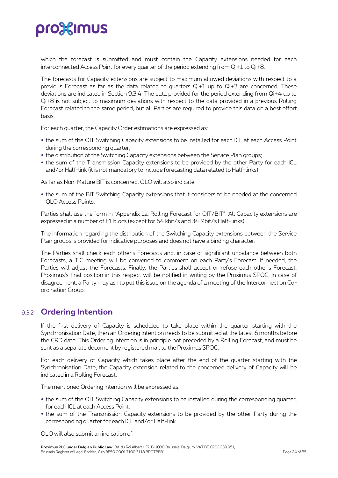which the forecast is submitted and must contain the Capacity extensions needed for each interconnected Access Point for every quarter of the period extending from Qi+1 to Qi+8.

The forecasts for Capacity extensions are subject to maximum allowed deviations with respect to a previous Forecast as far as the data related to quarters Qi+1 up to Qi+3 are concerned. These deviations are indicated in Section 9.3.4. The data provided for the period extending from Qi+4 up to Qi+8 is not subject to maximum deviations with respect to the data provided in a previous Rolling Forecast related to the same period, but all Parties are required to provide this data on a best effort basis.

For each quarter, the Capacity Order estimations are expressed as:

- the sum of the OIT Switching Capacity extensions to be installed for each ICL at each Access Point during the corresponding quarter;
- the distribution of the Switching Capacity extensions between the Service Plan groups;
- the sum of the Transmission Capacity extensions to be provided by the other Party for each ICL and/or Half-link (it is not mandatory to include forecasting data related to Half-links).

As far as Non-Mature BIT is concerned, OLO will also indicate:

 the sum of the BIT Switching Capacity extensions that it considers to be needed at the concerned OLO Access Points.

Parties shall use the form in "Appendix 1a: Rolling Forecast for OIT/BIT". All Capacity extensions are expressed in a number of E1 blocs (except for 64 kbit/s and 34 Mbit/s Half-links).

The information regarding the distribution of the Switching Capacity extensions between the Service Plan groups is provided for indicative purposes and does not have a binding character.

The Parties shall check each other's Forecasts and, in case of significant unbalance between both Forecasts, a TIC meeting will be convened to comment on each Party's Forecast. If needed, the Parties will adjust the Forecasts. Finally, the Parties shall accept or refuse each other's Forecast. Proximus's final position in this respect will be notified in writing by the Proximus SPOC. In case of disagreement, a Party may ask to put this issue on the agenda of a meeting of the Interconnection Coordination Group.

### <span id="page-23-0"></span>9.3.2 **Ordering Intention**

If the first delivery of Capacity is scheduled to take place within the quarter starting with the Synchronisation Date, then an Ordering Intention needs to be submitted at the latest 6 months before the CRD date. This Ordering Intention is in principle not preceded by a Rolling Forecast, and must be sent as a separate document by registered mail to the Proximus SPOC.

For each delivery of Capacity which takes place after the end of the quarter starting with the Synchronisation Date, the Capacity extension related to the concerned delivery of Capacity will be indicated in a Rolling Forecast.

The mentioned Ordering Intention will be expressed as:

- the sum of the OIT Switching Capacity extensions to be installed during the corresponding quarter, for each ICL at each Access Point;
- the sum of the Transmission Capacity extensions to be provided by the other Party during the corresponding quarter for each ICL and/or Half-link.

OLO will also submit an indication of: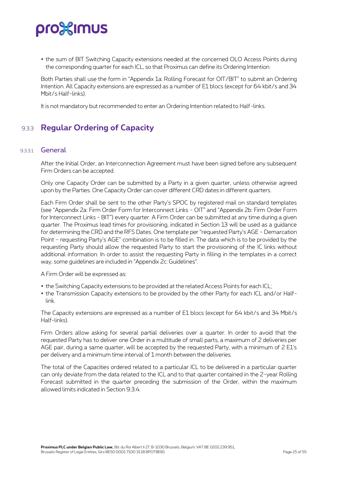the sum of BIT Switching Capacity extensions needed at the concerned OLO Access Points during the corresponding quarter for each ICL, so that Proximus can define its Ordering Intention.

Both Parties shall use the form in "Appendix 1a: Rolling Forecast for OIT/BIT" to submit an Ordering Intention. All Capacity extensions are expressed as a number of E1 blocs (except for 64 kbit/s and 34 Mbit/s Half-links).

<span id="page-24-0"></span>It is not mandatory but recommended to enter an Ordering Intention related to Half-links.

### 9.3.3 **Regular Ordering of Capacity**

#### 9331 General

After the Initial Order, an Interconnection Agreement must have been signed before any subsequent Firm Orders can be accepted.

Only one Capacity Order can be submitted by a Party in a given quarter, unless otherwise agreed upon by the Parties. One Capacity Order can cover different CRD dates in different quarters.

Each Firm Order shall be sent to the other Party's SPOC by registered mail on standard templates (see "Appendix 2a: Firm Order Form for Interconnect Links - OIT" and "Appendix 2b: Firm Order Form for Interconnect Links - BIT") every quarter. A Firm Order can be submitted at any time during a given quarter. The Proximus lead times for provisioning, indicated in Section 13 will be used as a guidance for determining the CRD and the RFS Dates. One template per "requested Party's AGE - Demarcation Point - requesting Party's AGE" combination is to be filled in. The data which is to be provided by the requesting Party should allow the requested Party to start the provisioning of the IC links without additional information. In order to assist the requesting Party in filling in the templates in a correct way, some guidelines are included in "Appendix 2c: Guidelines".

A Firm Order will be expressed as:

- the Switching Capacity extensions to be provided at the related Access Points for each ICL;
- the Transmission Capacity extensions to be provided by the other Party for each ICL and/or Halflink.

The Capacity extensions are expressed as a number of E1 blocs (except for 64 kbit/s and 34 Mbit/s Half-links).

Firm Orders allow asking for several partial deliveries over a quarter. In order to avoid that the requested Party has to deliver one Order in a multitude of small parts, a maximum of 2 deliveries per AGE pair, during a same quarter, will be accepted by the requested Party, with a minimum of 2 E1's per delivery and a minimum time interval of 1 month between the deliveries.

The total of the Capacities ordered related to a particular ICL to be delivered in a particular quarter can only deviate from the data related to the ICL and to that quarter contained in the 2-year Rolling Forecast submitted in the quarter preceding the submission of the Order, within the maximum allowed limits indicated in Section 9.3.4.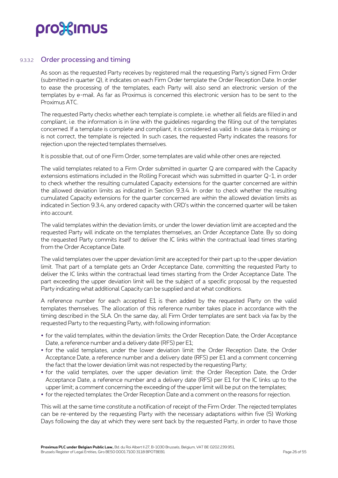

#### 9.3.3.2 Order processing and timing

As soon as the requested Party receives by registered mail the requesting Party's signed Firm Order (submitted in quarter Q), it indicates on each Firm Order template the Order Reception Date. In order to ease the processing of the templates, each Party will also send an electronic version of the templates by e-mail. As far as Proximus is concerned this electronic version has to be sent to the Proximus ATC.

The requested Party checks whether each template is complete, i.e. whether all fields are filled in and compliant, i.e. the information is in line with the guidelines regarding the filling out of the templates concerned. If a template is complete and compliant, it is considered as valid. In case data is missing or is not correct, the template is rejected. In such cases, the requested Party indicates the reasons for rejection upon the rejected templates themselves.

It is possible that, out of one Firm Order, some templates are valid while other ones are rejected.

The valid templates related to a Firm Order submitted in quarter Q are compared with the Capacity extensions estimations included in the Rolling Forecast which was submitted in quarter Q-1, in order to check whether the resulting cumulated Capacity extensions for the quarter concerned are within the allowed deviation limits as indicated in Section 9.3.4. In order to check whether the resulting cumulated Capacity extensions for the quarter concerned are within the allowed deviation limits as indicated in Section 9.3.4, any ordered capacity with CRD's within the concerned quarter will be taken into account.

The valid templates within the deviation limits, or under the lower deviation limit are accepted and the requested Party will indicate on the templates themselves, an Order Acceptance Date. By so doing the requested Party commits itself to deliver the IC links within the contractual lead times starting from the Order Acceptance Date.

The valid templates over the upper deviation limit are accepted for their part up to the upper deviation limit. That part of a template gets an Order Acceptance Date, committing the requested Party to deliver the IC links within the contractual lead times starting from the Order Acceptance Date. The part exceeding the upper deviation limit will be the subject of a specific proposal by the requested Party indicating what additional Capacity can be supplied and at what conditions.

A reference number for each accepted E1 is then added by the requested Party on the valid templates themselves. The allocation of this reference number takes place in accordance with the timing described in the SLA. On the same day, all Firm Order templates are sent back via fax by the requested Party to the requesting Party, with following information:

- for the valid templates, within the deviation limits: the Order Reception Date, the Order Acceptance Date, a reference number and a delivery date (RFS) per E1;
- for the valid templates, under the lower deviation limit: the Order Reception Date, the Order Acceptance Date, a reference number and a delivery date (RFS) per E1 and a comment concerning the fact that the lower deviation limit was not respected by the requesting Party;
- for the valid templates, over the upper deviation limit: the Order Reception Date, the Order Acceptance Date, a reference number and a delivery date (RFS) per E1 for the IC links up to the upper limit; a comment concerning the exceeding of the upper limit will be put on the templates;
- for the rejected templates: the Order Reception Date and a comment on the reasons for rejection.

This will at the same time constitute a notification of receipt of the Firm Order. The rejected templates can be re-entered by the requesting Party with the necessary adaptations within five (5) Working Days following the day at which they were sent back by the requested Party, in order to have those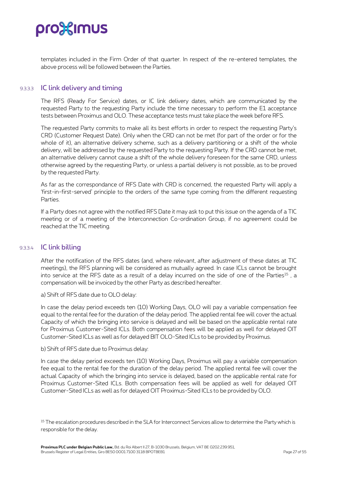

templates included in the Firm Order of that quarter. In respect of the re-entered templates, the above process will be followed between the Parties.

#### 9.3.3.3 IC link delivery and timing

The RFS (Ready For Service) dates, or IC link delivery dates, which are communicated by the requested Party to the requesting Party include the time necessary to perform the E1 acceptance tests between Proximus and OLO. These acceptance tests must take place the week before RFS.

The requested Party commits to make all its best efforts in order to respect the requesting Party's CRD (Customer Request Date). Only when the CRD can not be met (for part of the order or for the whole of it), an alternative delivery scheme, such as a delivery partitioning or a shift of the whole delivery, will be addressed by the requested Party to the requesting Party. If the CRD cannot be met, an alternative delivery cannot cause a shift of the whole delivery foreseen for the same CRD, unless otherwise agreed by the requesting Party, or unless a partial delivery is not possible, as to be proved by the requested Party.

As far as the correspondance of RFS Date with CRD is concerned, the requested Party will apply a 'first-in-first-served' principle to the orders of the same type coming from the different requesting **Parties** 

If a Party does not agree with the notified RFS Date it may ask to put this issue on the agenda of a TIC meeting or of a meeting of the Interconnection Co-ordination Group, if no agreement could be reached at the TIC meeting.

#### 9.3.3.4 IC link billing

After the notification of the RFS dates (and, where relevant, after adjustment of these dates at TIC meetings), the RFS planning will be considered as mutually agreed. In case ICLs cannot be brought into service at the RFS date as a result of a delay incurred on the side of one of the Parties<sup>15</sup>, a compensation will be invoiced by the other Party as described hereafter.

a) Shift of RFS date due to OLO delay:

In case the delay period exceeds ten (10) Working Days, OLO will pay a variable compensation fee equal to the rental fee for the duration of the delay period. The applied rental fee will cover the actual Capacity of which the bringing into service is delayed and will be based on the applicable rental rate for Proximus Customer-Sited ICLs. Both compensation fees will be applied as well for delayed OIT Customer-Sited ICLs as well as for delayed BIT OLO-Sited ICLs to be provided by Proximus.

b) Shift of RFS date due to Proximus delay:

In case the delay period exceeds ten (10) Working Days, Proximus will pay a variable compensation fee equal to the rental fee for the duration of the delay period. The applied rental fee will cover the actual Capacity of which the bringing into service is delayed, based on the applicable rental rate for Proximus Customer-Sited ICLs. Both compensation fees will be applied as well for delayed OIT Customer-Sited ICLs as well as for delayed OIT Proximus-Sited ICLs to be provided by OLO.

<sup>&</sup>lt;sup>15</sup> The escalation procedures described in the SLA for Interconnect Services allow to determine the Party which is responsible for the delay.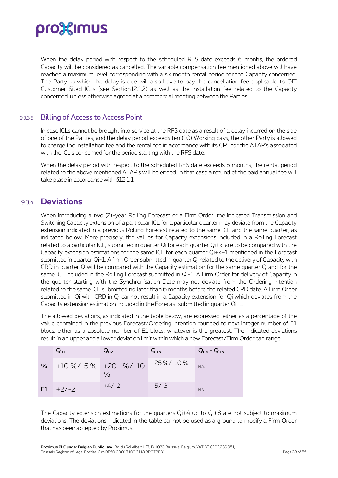When the delay period with respect to the scheduled RFS date exceeds 6 monhs, the ordered Capacity will be considered as cancelled. The variable compensation fee mentioned above will have reached a maximum level corresponding with a six month rental period for the Capacity concerned. The Party to which the delay is due will also have to pay the cancellation fee applicable to OIT Customer-Sited ICLs (see Section12.1.2) as well as the installation fee related to the Capacity concerned, unless otherwise agreed at a commercial meeting between the Parties.

#### 9.3.3.5 Billing of Access to Access Point

In case ICLs cannot be brought into service at the RFS date as a result of a delay incurred on the side of one of the Parties, and the delay period exceeds ten (10) Working days, the other Party is allowed to charge the installation fee and the rental fee in accordance with its CPL for the ATAP's associated with the ICL's concerned for the period starting with the RFS date.

When the delay period with respect to the scheduled RFS date exceeds 6 months, the rental period related to the above mentioned ATAP's will be ended. In that case a refund of the paid annual fee will take place in accordance with §12.1.1.

### <span id="page-27-0"></span>9.3.4 **Deviations**

When introducing a two (2)-year Rolling Forecast or a Firm Order, the indicated Transmission and Switching Capacity extension of a particular ICL for a particular quarter may deviate from the Capacity extension indicated in a previous Rolling Forecast related to the same ICL and the same quarter, as indicated below. More precisely, the values for Capacity extensions included in a Rolling Forecast related to a particular ICL, submitted in quarter Qi for each quarter Qi+x, are to be compared with the Capacity extension estimations for the same ICL for each quarter Qi+x+1 mentioned in the Forecast submitted in quarter Qi-1. A firm Order submitted in quarter Qi related to the delivery of Capacity with CRD in quarter Q will be compared with the Capacity estimation for the same quarter Q and for the same ICL included in the Rolling Forecast submitted in Qi-1. A Firm Order for delivery of Capacity in the quarter starting with the Synchronisation Date may not deviate from the Ordering Intention related to the same ICL submitted no later than 6 months before the related CRD date. A Firm Order submitted in Qi with CRD in Qi cannot result in a Capacity extension for Qi which deviates from the Capacity extension estimation included in the Forecast submitted in quarter Qi-1.

The allowed deviations, as indicated in the table below, are expressed, either as a percentage of the value contained in the previous Forecast/Ordering Intention rounded to next integer number of E1 blocs, either as a absolute number of E1 blocs, whatever is the greatest. The indicated deviations result in an upper and a lower deviation limit within which a new Forecast/Firm Order can range.

|    | $Q_{i+1}$                 | $Q_{i+2}$ | $Q_{i+3}$   | $Q_{i+4} - Q_{i+8}$ |
|----|---------------------------|-----------|-------------|---------------------|
| %  | $+10\%$ /-5% $+20\%$ /-10 | $\%$      | +25 %/-10 % | NA.                 |
| E1 | $+2/-2$                   | $+4/-2$   | $+5/-3$     | N.A.                |

The Capacity extension estimations for the quarters  $Q<sub>i</sub>+4$  up to  $Q<sub>i</sub>+8$  are not subject to maximum deviations. The deviations indicated in the table cannot be used as a ground to modify a Firm Order that has been accepted by Proximus.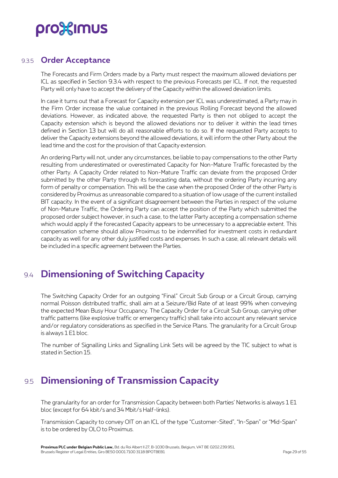#### 9.3.5 **Order Acceptance**

<span id="page-28-0"></span>The Forecasts and Firm Orders made by a Party must respect the maximum allowed deviations per ICL as specified in Section 9.3.4 with respect to the previous Forecasts per ICL. If not, the requested Party will only have to accept the delivery of the Capacity within the allowed deviation limits.

In case it turns out that a Forecast for Capacity extension per ICL was underestimated, a Party may in the Firm Order increase the value contained in the previous Rolling Forecast beyond the allowed deviations. However, as indicated above, the requested Party is then not obliged to accept the Capacity extension which is beyond the allowed deviations nor to deliver it within the lead times defined in Section 13 but will do all reasonable efforts to do so. If the requested Party accepts to deliver the Capacity extensions beyond the allowed deviations, it will inform the other Party about the lead time and the cost for the provision of that Capacity extension.

An ordering Party will not, under any circumstances, be liable to pay compensations to the other Party resulting from underestimated or overestimated Capacity for Non-Mature Traffic forecasted by the other Party. A Capacity Order related to Non-Mature Traffic can deviate from the proposed Order submitted by the other Party through its forecasting data, without the ordering Party incurring any form of penalty or compensation. This will be the case when the proposed Order of the other Party is considered by Proximus as unreasonable compared to a situation of low usage of the current installed BIT capacity. In the event of a significant disagreement between the Parties in respect of the volume of Non-Mature Traffic, the Ordering Party can accept the position of the Party which submitted the proposed order subject however, in such a case, to the latter Party accepting a compensation scheme which would apply if the forecasted Capacity appears to be unnecessary to a appreciable extent. This compensation scheme should allow Proximus to be indemnified for investment costs in redundant capacity as well for any other duly justified costs and expenses. In such a case, all relevant details will be included in a specific agreement between the Parties.

## <span id="page-28-1"></span>9.4 **Dimensioning of Switching Capacity**

The Switching Capacity Order for an outgoing "Final" Circuit Sub Group or a Circuit Group, carrying normal Poisson distributed traffic, shall aim at a Seizure/Bid Rate of at least 99% when conveying the expected Mean Busy Hour Occupancy. The Capacity Order for a Circuit Sub Group, carrying other traffic patterns (like explosive traffic or emergency traffic) shall take into account any relevant service and/or regulatory considerations as specified in the Service Plans. The granularity for a Circuit Group is always 1 E1 bloc.

<span id="page-28-2"></span>The number of Signalling Links and Signalling Link Sets will be agreed by the TIC subject to what is stated in Section 15.

## 9.5 **Dimensioning of Transmission Capacity**

The granularity for an order for Transmission Capacity between both Parties' Networks is always 1 E1 bloc (except for 64 kbit/s and 34 Mbit/s Half-links).

Transmission Capacity to convey OIT on an ICL of the type "Customer-Sited", "In-Span" or "Mid-Span" is to be ordered by OLO to Proximus.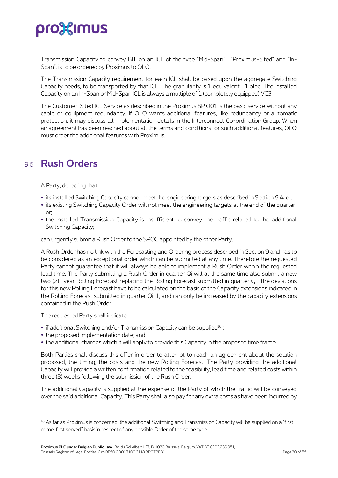Transmission Capacity to convey BIT on an ICL of the type "Mid-Span", "Proximus-Sited" and "In-Span", is to be ordered by Proximus to OLO.

The Transmission Capacity requirement for each ICL shall be based upon the aggregate Switching Capacity needs, to be transported by that ICL. The granularity is 1 equivalent E1 bloc. The installed Capacity on an In-Span or Mid-Span ICL is always a multiple of 1 (completely equipped) VC3.

The Customer-Sited ICL Service as described in the Proximus SP 001 is the basic service without any cable or equipment redundancy. If OLO wants additional features, like redundancy or automatic protection, it may discuss all implementation details in the Interconnect Co-ordination Group. When an agreement has been reached about all the terms and conditions for such additional features, OLO must order the additional features with Proximus.

## <span id="page-29-0"></span>9.6 **Rush Orders**

A Party, detecting that:

- $\bullet$  its installed Switching Capacity cannot meet the engineering targets as described in Section 9.4, or;
- its existing Switching Capacity Order will not meet the engineering targets at the end of the quarter, or;
- the installed Transmission Capacity is insufficient to convey the traffic related to the additional Switching Capacity;

can urgently submit a Rush Order to the SPOC appointed by the other Party.

A Rush Order has no link with the Forecasting and Ordering process described in Section 9 and has to be considered as an exceptional order which can be submitted at any time. Therefore the requested Party cannot guarantee that it will always be able to implement a Rush Order within the requested lead time. The Party submitting a Rush Order in quarter Qi will at the same time also submit a new two (2)- year Rolling Forecast replacing the Rolling Forecast submitted in quarter Qi. The deviations for this new Rolling Forecast have to be calculated on the basis of the Capacity extensions indicated in the Rolling Forecast submitted in quarter Qi-1, and can only be increased by the capacity extensions contained in the Rush Order.

The requested Party shall indicate:

- $\bullet$  if additional Switching and/or Transmission Capacity can be supplied<sup>16</sup>;
- the proposed implementation date; and
- the additional charges which it will apply to provide this Capacity in the proposed time frame.

Both Parties shall discuss this offer in order to attempt to reach an agreement about the solution proposed, the timing, the costs and the new Rolling Forecast. The Party providing the additional Capacity will provide a written confirmation related to the feasibility, lead time and related costs within three (3) weeks following the submission of the Rush Order.

The additional Capacity is supplied at the expense of the Party of which the traffic will be conveyed over the said additional Capacity. This Party shall also pay for any extra costs as have been incurred by

<sup>16</sup> As far as Proximus is concerned, the additional Switching and Transmission Capacity will be supplied on a "first come, first served" basis in respect of any possible Order of the same type.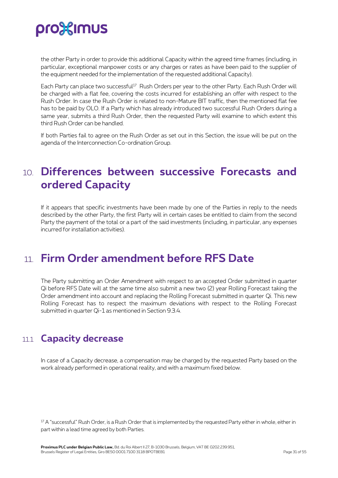the other Party in order to provide this additional Capacity within the agreed time frames (including, in particular, exceptional manpower costs or any charges or rates as have been paid to the supplier of the equipment needed for the implementation of the requested additional Capacity).

Each Party can place two successful<sup>17</sup> Rush Orders per year to the other Party. Each Rush Order will be charged with a flat fee, covering the costs incurred for establishing an offer with respect to the Rush Order. In case the Rush Order is related to non-Mature BIT traffic, then the mentioned flat fee has to be paid by OLO. If a Party which has already introduced two successful Rush Orders during a same year, submits a third Rush Order, then the requested Party will examine to which extent this third Rush Order can be handled.

<span id="page-30-0"></span>If both Parties fail to agree on the Rush Order as set out in this Section, the issue will be put on the agenda of the Interconnection Co-ordination Group.

## 10. **Differences between successive Forecasts and ordered Capacity**

If it appears that specific investments have been made by one of the Parties in reply to the needs described by the other Party, the first Party will in certain cases be entitled to claim from the second Party the payment of the total or a part of the said investments (including, in particular, any expenses incurred for installation activities).

## <span id="page-30-1"></span>11. **Firm Order amendment before RFS Date**

The Party submitting an Order Amendment with respect to an accepted Order submitted in quarter Qi before RFS Date will at the same time also submit a new two (2) year Rolling Forecast taking the Order amendment into account and replacing the Rolling Forecast submitted in quarter Qi. This new Rolling Forecast has to respect the maximum deviations with respect to the Rolling Forecast submitted in quarter Qi-1 as mentioned in Section 9.3.4.

## <span id="page-30-2"></span>11.1 **Capacity decrease**

In case of a Capacity decrease, a compensation may be charged by the requested Party based on the work already performed in operational reality, and with a maximum fixed below.

<sup>17</sup> A "successful" Rush Order, is a Rush Order that is implemented by the requested Party either in whole, either in part within a lead time agreed by both Parties.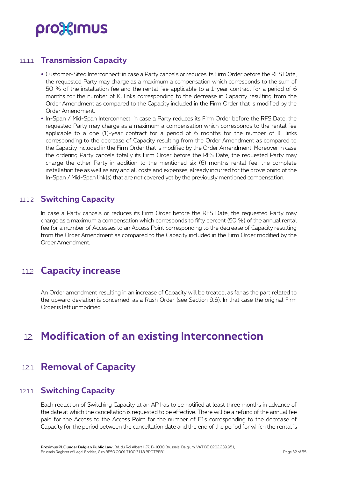### 11.1.1 **Transmission Capacity**

- <span id="page-31-0"></span> Customer-Sited Interconnect: in case a Party cancels or reduces its Firm Order before the RFS Date, the requested Party may charge as a maximum a compensation which corresponds to the sum of 50 % of the installation fee and the rental fee applicable to a 1-year contract for a period of 6 months for the number of IC links corresponding to the decrease in Capacity resulting from the Order Amendment as compared to the Capacity included in the Firm Order that is modified by the Order Amendment.
- In-Span / Mid-Span Interconnect: in case a Party reduces its Firm Order before the RFS Date, the requested Party may charge as a maximum a compensation which corresponds to the rental fee applicable to a one (1)-year contract for a period of 6 months for the number of IC links corresponding to the decrease of Capacity resulting from the Order Amendment as compared to the Capacity included in the Firm Order that is modified by the Order Amendment. Moreover in case the ordering Party cancels totally its Firm Order before the RFS Date, the requested Party may charge the other Party in addition to the mentioned six (6) months rental fee, the complete installation fee as well as any and all costs and expenses, already incurred for the provisioning of the In-Span / Mid-Span link(s) that are not covered yet by the previously mentioned compensation.

### <span id="page-31-1"></span>11.1.2 **Switching Capacity**

In case a Party cancels or reduces its Firm Order before the RFS Date, the requested Party may charge as a maximum a compensation which corresponds to fifty percent (50 %) of the annual rental fee for a number of Accesses to an Access Point corresponding to the decrease of Capacity resulting from the Order Amendment as compared to the Capacity included in the Firm Order modified by the Order Amendment.

## <span id="page-31-2"></span>11.2 **Capacity increase**

An Order amendment resulting in an increase of Capacity will be treated, as far as the part related to the upward deviation is concerned, as a Rush Order (see Section 9.6). In that case the original Firm Order is left unmodified.

## <span id="page-31-3"></span>12. **Modification of an existing Interconnection**

## <span id="page-31-4"></span>12.1 **Removal of Capacity**

### 12.1.1 **Switching Capacity**

<span id="page-31-5"></span>Each reduction of Switching Capacity at an AP has to be notified at least three months in advance of the date at which the cancellation is requested to be effective. There will be a refund of the annual fee paid for the Access to the Access Point for the number of E1s corresponding to the decrease of Capacity for the period between the cancellation date and the end of the period for which the rental is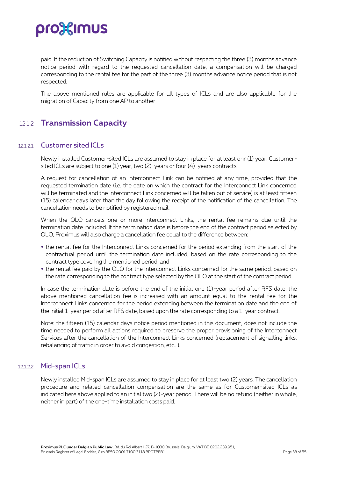paid. If the reduction of Switching Capacity is notified without respecting the three (3) months advance notice period with regard to the requested cancellation date, a compensation will be charged corresponding to the rental fee for the part of the three (3) months advance notice period that is not respected.

<span id="page-32-0"></span>The above mentioned rules are applicable for all types of ICLs and are also applicable for the migration of Capacity from one AP to another.

### 12.1.2 **Transmission Capacity**

#### 121.21 Customer sited ICLs

Newly installed Customer-sited ICLs are assumed to stay in place for at least onr (1) year. Customersited ICLs are subject to one (1) year, two (2)-years or four (4)-years contracts.

A request for cancellation of an Interconnect Link can be notified at any time, provided that the requested termination date (i.e. the date on which the contract for the Interconnect Link concerned will be terminated and the Interconnect Link concerned will be taken out of service) is at least fifteen (15) calendar days later than the day following the receipt of the notification of the cancellation. The cancellation needs to be notified by registered mail.

When the OLO cancels one or more Interconnect Links, the rental fee remains due until the termination date included. If the termination date is before the end of the contract period selected by OLO, Proximus will also charge a cancellation fee equal to the difference between:

- the rental fee for the Interconnect Links concerned for the period extending from the start of the contractual period until the termination date included, based on the rate corresponding to the contract type covering the mentioned period, and
- the rental fee paid by the OLO for the Interconnect Links concerned for the same period, based on the rate corresponding to the contract type selected by the OLO at the start of the contract period.

In case the termination date is before the end of the initial one (1)-year period after RFS date, the above mentioned cancellation fee is increased with an amount equal to the rental fee for the Interconnect Links concerned for the period extending between the termination date and the end of the initial 1-year period after RFS date, based upon the rate corresponding to a 1-year contract.

Note: the fifteen (15) calendar days notice period mentioned in this document, does not include the time needed to perform all actions required to preserve the proper provisioning of the Interconnect Services after the cancellation of the Interconnect Links concerned (replacement of signalling links, rebalancing of traffic in order to avoid congestion, etc...).

#### 12.1.2.2 Mid-span ICLs

Newly installed Mid-span ICLs are assumed to stay in place for at least two (2) years. The cancellation procedure and related cancellation compensation are the same as for Customer-sited ICLs as indicated here above applied to an initial two (2)-year period. There will be no refund (neither in whole, neither in part) of the one-time installation costs paid.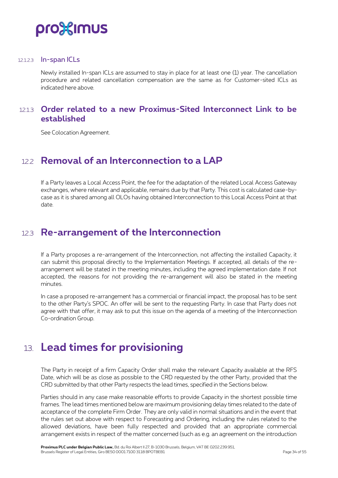

#### 12.1.2.3 In-span ICLs

Newly installed In-span ICLs are assumed to stay in place for at least one (1) year. The cancellation procedure and related cancellation compensation are the same as for Customer-sited ICLs as indicated here above.

### <span id="page-33-0"></span>12.1.3 **Order related to a new Proximus-Sited Interconnect Link to be established**

<span id="page-33-1"></span>See Colocation Agreement.

### 12.2 **Removal of an Interconnection to a LAP**

If a Party leaves a Local Access Point, the fee for the adaptation of the related Local Access Gateway exchanges, where relevant and applicable, remains due by that Party. This cost is calculated case-bycase as it is shared among all OLOs having obtained Interconnection to this Local Access Point at that date.

### <span id="page-33-2"></span>12.3 **Re-arrangement of the Interconnection**

If a Party proposes a re-arrangement of the Interconnection, not affecting the installed Capacity, it can submit this proposal directly to the Implementation Meetings. If accepted, all details of the rearrangement will be stated in the meeting minutes, including the agreed implementation date. If not accepted, the reasons for not providing the re-arrangement will also be stated in the meeting minutes.

In case a proposed re-arrangement has a commercial or financial impact, the proposal has to be sent to the other Party's SPOC. An offer will be sent to the requesting Party. In case that Party does not agree with that offer, it may ask to put this issue on the agenda of a meeting of the Interconnection Co-ordination Group.

## <span id="page-33-3"></span>13. **Lead times for provisioning**

The Party in receipt of a firm Capacity Order shall make the relevant Capacity available at the RFS Date, which will be as close as possible to the CRD requested by the other Party, provided that the CRD submitted by that other Party respects the lead times, specified in the Sections below.

Parties should in any case make reasonable efforts to provide Capacity in the shortest possible time frames. The lead times mentioned below are maximum provisioning delay times related to the date of acceptance of the complete Firm Order. They are only valid in normal situations and in the event that the rules set out above with respect to Forecasting and Ordering, including the rules related to the allowed deviations, have been fully respected and provided that an appropriate commercial arrangement exists in respect of the matter concerned (such as e.g. an agreement on the introduction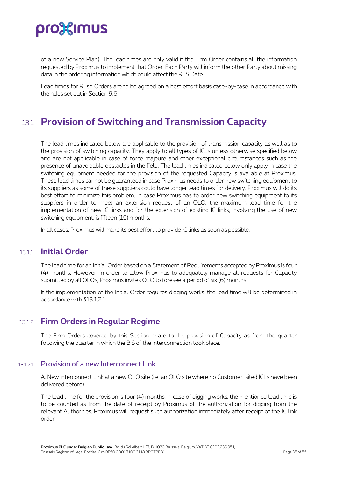

of a new Service Plan). The lead times are only valid if the Firm Order contains all the information requested by Proximus to implement that Order. Each Party will inform the other Party about missing data in the ordering information which could affect the RFS Date.

<span id="page-34-0"></span>Lead times for Rush Orders are to be agreed on a best effort basis case-by-case in accordance with the rules set out in Section 9.6.

### 13.1 **Provision of Switching and Transmission Capacity**

The lead times indicated below are applicable to the provision of transmission capacity as well as to the provision of switching capacity. They apply to all types of ICLs unless otherwise specified below and are not applicable in case of force majeure and other exceptional circumstances such as the presence of unavoidable obstacles in the field. The lead times indicated below only apply in case the switching equipment needed for the provision of the requested Capacity is available at Proximus. These lead times cannot be guaranteed in case Proximus needs to order new switching equipment to its suppliers as some of these suppliers could have longer lead times for delivery. Proximus will do its best effort to minimize this problem. In case Proximus has to order new switching equipment to its suppliers in order to meet an extension request of an OLO, the maximum lead time for the implementation of new IC links and for the extension of existing IC links, involving the use of new switching equipment, is fifteen (15) months.

<span id="page-34-1"></span>In all cases, Proximus will make its best effort to provide IC links as soon as possible.

#### 13.1.1 **Initial Order**

The lead time for an Initial Order based on a Statement of Requirements accepted by Proximus is four (4) months. However, in order to allow Proximus to adequately manage all requests for Capacity submitted by all OLOs, Proximus invites OLO to foresee a period of six (6) months.

<span id="page-34-2"></span>If the implementation of the Initial Order requires digging works, the lead time will be determined in accordance with §13.1.2.1.

#### 13.1.2 **Firm Orders in Regular Regime**

The Firm Orders covered by this Section relate to the provision of Capacity as from the quarter following the quarter in which the BIS of the Interconnection took place.

#### 13.1.2.1 Provision of a new Interconnect Link

A. New Interconnect Link at a new OLO site (i.e. an OLO site where no Customer-sited ICLs have been delivered before)

The lead time for the provision is four (4) months. In case of digging works, the mentioned lead time is to be counted as from the date of receipt by Proximus of the authorization for digging from the relevant Authorities. Proximus will request such authorization immediately after receipt of the IC link order.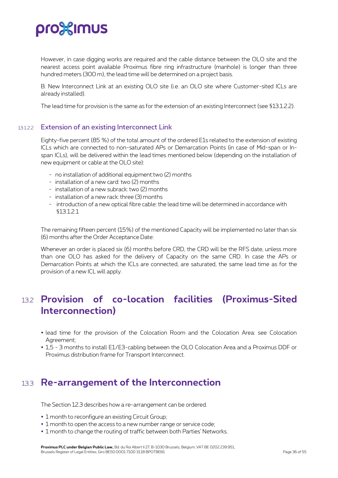However, in case digging works are required and the cable distance between the OLO site and the nearest access point available Proximus fibre ring infrastructure (manhole) is longer than three hundred meters (300 m), the lead time will be determined on a project basis.

B. New Interconnect Link at an existing OLO site (i.e. an OLO site where Customer-sited ICLs are already installed).

The lead time for provision is the same as for the extension of an existing Interconnect (see §13.1.2.2).

#### 13.1.2.2 Extension of an existing Interconnect Link

Eighty-five percent (85 %) of the total amount of the ordered E1s related to the extension of existing ICLs which are connected to non-saturated APs or Demarcation Points (in case of Mid-span or Inspan ICLs), will be delivered within the lead times mentioned below (depending on the installation of new equipment or cable at the OLO site):

- no installation of additional equipment:two (2) months
- installation of a new card: two (2) months
- installation of a new subrack: two (2) months
- installation of a new rack: three (3) months
- introduction of a new optical fibre cable: the lead time will be determined in accordance with §13.1.2.1

The remaining fifteen percent (15%) of the mentioned Capacity will be implemented no later than six (6) months after the Order Acceptance Date:

Whenever an order is placed six (6) months before CRD, the CRD will be the RFS date, unless more than one OLO has asked for the delivery of Capacity on the same CRD. In case the APs or Demarcation Points at which the ICLs are connected, are saturated, the same lead time as for the provision of a new ICL will apply.

### <span id="page-35-0"></span>13.2 **Provision of co-location facilities (Proximus-Sited Interconnection)**

- lead time for the provision of the Colocation Room and the Colocation Area: see Colocation Agreement<sup>;</sup>
- <span id="page-35-1"></span> 1,5 - 3 months to install E1/E3-cabling between the OLO Colocation Area and a Proximus DDF or Proximus distribution frame for Transport Interconnect.

### 13.3 **Re-arrangement of the Interconnection**

The Section 12.3 describes how a re-arrangement can be ordered.

- 1 month to reconfigure an existing Circuit Group;
- 1 month to open the access to a new number range or service code;
- 1 month to change the routing of traffic between both Parties' Networks.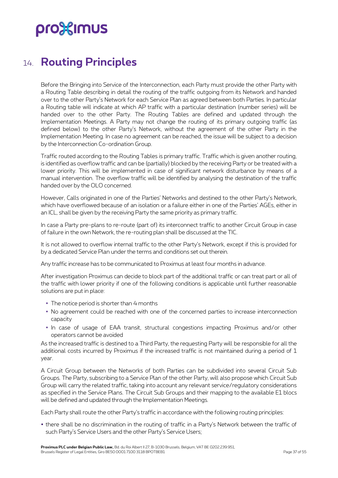## <span id="page-36-0"></span>14. **Routing Principles**

Before the Bringing into Service of the Interconnection, each Party must provide the other Party with a Routing Table describing in detail the routing of the traffic outgoing from its Network and handed over to the other Party's Network for each Service Plan as agreed between both Parties. In particular a Routing table will indicate at which AP traffic with a particular destination (number series) will be handed over to the other Party. The Routing Tables are defined and updated through the Implementation Meetings. A Party may not change the routing of its primary outgoing traffic (as defined below) to the other Party's Network, without the agreement of the other Party in the Implementation Meeting. In case no agreement can be reached, the issue will be subject to a decision by the Interconnection Co-ordination Group.

Traffic routed according to the Routing Tables is primary traffic. Traffic which is given another routing, is identified as overflow traffic and can be (partially) blocked by the receiving Party or be treated with a lower priority. This will be implemented in case of significant network disturbance by means of a manual intervention. The overflow traffic will be identified by analysing the destination of the traffic handed over by the OLO concerned.

However, Calls originated in one of the Parties' Networks and destined to the other Party's Network, which have overflowed because of an isolation or a failure either in one of the Parties' AGEs, either in an ICL, shall be given by the receiving Party the same priority as primary traffic.

In case a Party pre-plans to re-route (part of) its interconnect traffic to another Circuit Group in case of failure in the own Network, the re-routing plan shall be discussed at the TIC.

It is not allowed to overflow internal traffic to the other Party's Network, except if this is provided for by a dedicated Service Plan under the terms and conditions set out therein.

Any traffic increase has to be communicated to Proximus at least four months in advance.

After investigation Proximus can decide to block part of the additional traffic or can treat part or all of the traffic with lower priority if one of the following conditions is applicable until further reasonable solutions are put in place:

- The notice period is shorter than 4 months
- No agreement could be reached with one of the concerned parties to increase interconnection capacity
- In case of usage of EAA transit, structural congestions impacting Proximus and/or other operators cannot be avoided

As the increased traffic is destined to a Third Party, the requesting Party will be responsible for all the additional costs incurred by Proximus if the increased traffic is not maintained during a period of 1 year.

A Circuit Group between the Networks of both Parties can be subdivided into several Circuit Sub Groups. The Party, subscribing to a Service Plan of the other Party, will also propose which Circuit Sub Group will carry the related traffic, taking into account any relevant service/regulatory considerations as specified in the Service Plans. The Circuit Sub Groups and their mapping to the available E1 blocs will be defined and updated through the Implementation Meetings.

Each Party shall route the other Party's traffic in accordance with the following routing principles:

 there shall be no discrimination in the routing of traffic in a Party's Network between the traffic of such Party's Service Users and the other Party's Service Users;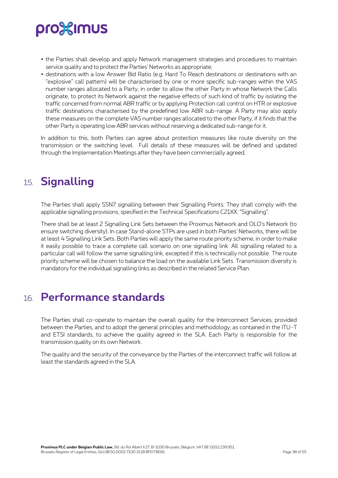- the Parties shall develop and apply Network management strategies and procedures to maintain service quality and to protect the Parties' Networks as appropriate;
- destinations with a low Answer Bid Ratio (e.g. Hard To Reach destinations or destinations with an "explosive" call pattern) will be characterised by one or more specific sub-ranges within the VAS number ranges allocated to a Party, in order to allow the other Party in whose Network the Calls originate, to protect its Network against the negative effects of such kind of traffic by isolating the traffic concerned from normal ABR traffic or by applying Protection call control on HTR or explosive traffic destinations characterised by the predefined low ABR sub-range. A Party may also apply these measures on the complete VAS number ranges allocated to the other Party, if it finds that the other Party is operating low ABR services without reserving a dedicated sub-range for it.

In addition to this, both Parties can agree about protection measures like route diversity on the transmission or the switching level. Full details of these measures will be defined and updated through the Implementation Meetings after they have been commercially agreed.

## <span id="page-37-0"></span>15. **Signalling**

The Parties shall apply SSN7 signalling between their Signalling Points. They shall comply with the applicable signalling provisions, specified in the Technical Specifications C21XX: "Signalling".

There shall be at least 2 Signalling Link Sets between the Proximus Network and OLO's Network (to ensure switching diversity). In case Stand-alone STPs are used in both Parties' Networks, there will be at least 4 Signalling Link Sets. Both Parties will apply the same route priority scheme, in order to make it easily possible to trace a complete call scenario on one signalling link. All signalling related to a particular call will follow the same signalling link, excepted if this is technically not possible. The route priority scheme will be chosen to balance the load on the available Link Sets. Transmission diversity is mandatory for the individual signalling links as described in the related Service Plan.

## <span id="page-37-1"></span>16. **Performance standards**

The Parties shall co-operate to maintain the overall quality for the Interconnect Services, provided between the Parties, and to adopt the general principles and methodology, as contained in the ITU-T and ETSI standards, to achieve the quality agreed in the SLA. Each Party is responsible for the transmission quality on its own Network.

The quality and the security of the conveyance by the Parties of the interconnect traffic will follow at least the standards agreed in the SLA.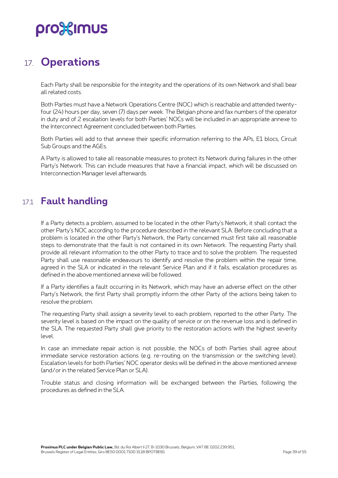## <span id="page-38-0"></span>17. **Operations**

Each Party shall be responsible for the integrity and the operations of its own Network and shall bear all related costs.

Both Parties must have a Network Operations Centre (NOC) which is reachable and attended twentyfour (24) hours per day, seven (7) days per week. The Belgian phone and fax numbers of the operator in duty and of 2 escalation levels for both Parties' NOCs will be included in an appropriate annexe to the Interconnect Agreement concluded between both Parties.

Both Parties will add to that annexe their specific information referring to the APs, E1 blocs, Circuit Sub Groups and the AGEs.

A Party is allowed to take all reasonable measures to protect its Network during failures in the other Party's Network. This can include measures that have a financial impact, which will be discussed on Interconnection Manager level afterwards.

## <span id="page-38-1"></span>17.1 **Fault handling**

If a Party detects a problem, assumed to be located in the other Party's Network, it shall contact the other Party's NOC according to the procedure described in the relevant SLA. Before concluding that a problem is located in the other Party's Network, the Party concerned must first take all reasonable steps to demonstrate that the fault is not contained in its own Network. The requesting Party shall provide all relevant information to the other Party to trace and to solve the problem. The requested Party shall use reasonable endeavours to identify and resolve the problem within the repair time, agreed in the SLA or indicated in the relevant Service Plan and if it fails, escalation procedures as defined in the above mentioned annexe will be followed.

If a Party identifies a fault occurring in its Network, which may have an adverse effect on the other Party's Network, the first Party shall promptly inform the other Party of the actions being taken to resolve the problem.

The requesting Party shall assign a severity level to each problem, reported to the other Party. The severity level is based on the impact on the quality of service or on the revenue loss and is defined in the SLA. The requested Party shall give priority to the restoration actions with the highest severity level.

In case an immediate repair action is not possible, the NOCs of both Parties shall agree about immediate service restoration actions (e.g. re-routing on the transmission or the switching level). Escalation levels for both Parties' NOC operator desks will be defined in the above mentioned annexe (and/or in the related Service Plan or SLA).

Trouble status and closing information will be exchanged between the Parties, following the procedures as defined in the SLA.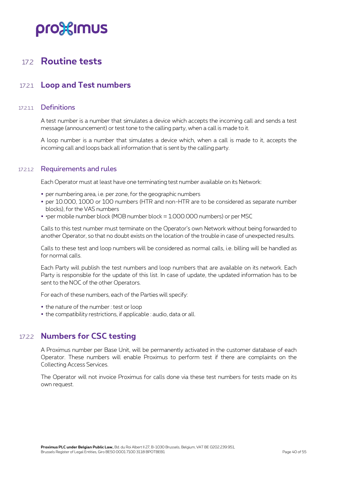### <span id="page-39-0"></span>17.2 **Routine tests**

### <span id="page-39-1"></span>17.2.1 **Loop and Test numbers**

#### 17211 Definitions

A test number is a number that simulates a device which accepts the incoming call and sends a test message (announcement) or test tone to the calling party, when a call is made to it.

A loop number is a number that simulates a device which, when a call is made to it, accepts the incoming call and loops back all information that is sent by the calling party.

#### 17.2.1.2 Requirements and rules

Each Operator must at least have one terminating test number available on its Network:

- per numbering area, i.e. per zone, for the geographic numbers
- per 10.000, 1000 or 100 numbers (HTR and non-HTR are to be considered as separate number blocks), for the VAS numbers
- • per mobile number block (MOB number block = 1.000.000 numbers) or per MSC

Calls to this test number must terminate on the Operator's own Network without being forwarded to another Operator, so that no doubt exists on the location of the trouble in case of unexpected results.

Calls to these test and loop numbers will be considered as normal calls, i.e. billing will be handled as for normal calls.

Each Party will publish the test numbers and loop numbers that are available on its network. Each Party is responsible for the update of this list. In case of update, the updated information has to be sent to the NOC of the other Operators.

For each of these numbers, each of the Parties will specify:

- the nature of the number : test or loop
- <span id="page-39-2"></span>the compatibility restrictions, if applicable : audio, data or all.

### 17.2.2 **Numbers for CSC testing**

A Proximus number per Base Unit, will be permanently activated in the customer database of each Operator. These numbers will enable Proximus to perform test if there are complaints on the Collecting Access Services.

The Operator will not invoice Proximus for calls done via these test numbers for tests made on its own request.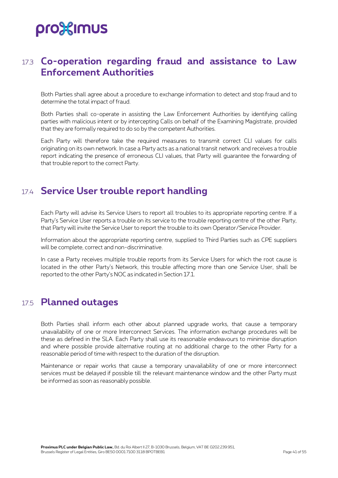### <span id="page-40-0"></span>17.3 **Co-operation regarding fraud and assistance to Law Enforcement Authorities**

Both Parties shall agree about a procedure to exchange information to detect and stop fraud and to determine the total impact of fraud.

Both Parties shall co-operate in assisting the Law Enforcement Authorities by identifying calling parties with malicious intent or by intercepting Calls on behalf of the Examining Magistrate, provided that they are formally required to do so by the competent Authorities.

Each Party will therefore take the required measures to transmit correct CLI values for calls originating on its own network. In case a Party acts as a national transit network and receives a trouble report indicating the presence of erroneous CLI values, that Party will guarantee the forwarding of that trouble report to the correct Party.

## <span id="page-40-1"></span>17.4 **Service User trouble report handling**

Each Party will advise its Service Users to report all troubles to its appropriate reporting centre. If a Party's Service User reports a trouble on its service to the trouble reporting centre of the other Party, that Party will invite the Service User to report the trouble to its own Operator/Service Provider.

Information about the appropriate reporting centre, supplied to Third Parties such as CPE suppliers will be complete, correct and non-discriminative.

In case a Party receives multiple trouble reports from its Service Users for which the root cause is located in the other Party's Network, this trouble affecting more than one Service User, shall be reported to the other Party's NOC as indicated in Section 17.1.

### <span id="page-40-2"></span>17.5 **Planned outages**

Both Parties shall inform each other about planned upgrade works, that cause a temporary unavailability of one or more Interconnect Services. The information exchange procedures will be these as defined in the SLA. Each Party shall use its reasonable endeavours to minimise disruption and where possible provide alternative routing at no additional charge to the other Party for a reasonable period of time with respect to the duration of the disruption.

Maintenance or repair works that cause a temporary unavailability of one or more interconnect services must be delayed if possible till the relevant maintenance window and the other Party must be informed as soon as reasonably possible.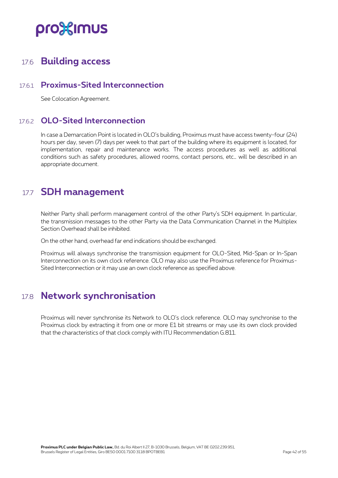### <span id="page-41-0"></span>17.6 **Building access**

### 17.6.1 **Proximus-Sited Interconnection**

<span id="page-41-2"></span><span id="page-41-1"></span>See Colocation Agreement.

### 17.6.2 **OLO-Sited Interconnection**

In case a Demarcation Point is located in OLO's building, Proximus must have access twenty-four (24) hours per day, seven (7) days per week to that part of the building where its equipment is located, for implementation, repair and maintenance works. The access procedures as well as additional conditions such as safety procedures, allowed rooms, contact persons, etc… will be described in an appropriate document.

## <span id="page-41-3"></span>17.7 **SDH management**

Neither Party shall perform management control of the other Party's SDH equipment. In particular, the transmission messages to the other Party via the Data Communication Channel in the Multiplex Section Overhead shall be inhibited.

On the other hand, overhead far end indications should be exchanged.

Proximus will always synchronise the transmission equipment for OLO-Sited, Mid-Span or In-Span Interconnection on its own clock reference. OLO may also use the Proximus reference for Proximus-Sited Interconnection or it may use an own clock reference as specified above.

## <span id="page-41-4"></span>17.8 **Network synchronisation**

Proximus will never synchronise its Network to OLO's clock reference. OLO may synchronise to the Proximus clock by extracting it from one or more E1 bit streams or may use its own clock provided that the characteristics of that clock comply with ITU Recommendation G.811.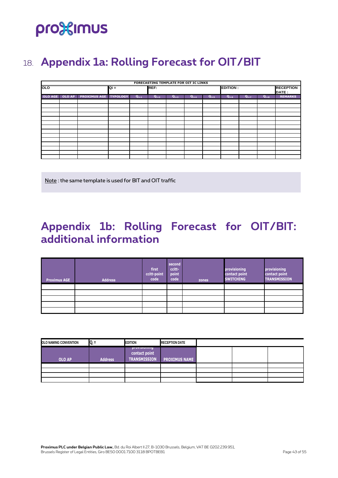## <span id="page-42-0"></span>18. **Appendix 1a: Rolling Forecast for OIT/BIT**

|            |        |                     |                 |           |           |           | FORECASTING TEMPLATE FOR OIT IC LINKS |           |                 |           |           |                           |
|------------|--------|---------------------|-----------------|-----------|-----------|-----------|---------------------------------------|-----------|-----------------|-----------|-----------|---------------------------|
| <b>OLO</b> |        |                     | Qi =            |           | REF:      |           |                                       |           | <b>EDITION:</b> |           |           | <b>RECEPTION</b><br>DATE: |
| OLO AGE    | OLO AP | <b>PROXIMUS AGE</b> | <b>TYPOLOGY</b> | $Q_{i+1}$ | $Q_{i+2}$ | $Q_{i+3}$ | $Q_{i+4}$                             | $Q_{i+5}$ | $Q_{i+6}$       | $Q_{i+7}$ | $Q_{i+8}$ | <b>REMARKS</b>            |
|            |        |                     |                 |           |           |           |                                       |           |                 |           |           |                           |
|            |        |                     |                 |           |           |           |                                       |           |                 |           |           |                           |
|            |        |                     |                 |           |           |           |                                       |           |                 |           |           |                           |
|            |        |                     |                 |           |           |           |                                       |           |                 |           |           |                           |
|            |        |                     |                 |           |           |           |                                       |           |                 |           |           |                           |
|            |        |                     |                 |           |           |           |                                       |           |                 |           |           |                           |
|            |        |                     |                 |           |           |           |                                       |           |                 |           |           |                           |
|            |        |                     |                 |           |           |           |                                       |           |                 |           |           |                           |
|            |        |                     |                 |           |           |           |                                       |           |                 |           |           |                           |
|            |        |                     |                 |           |           |           |                                       |           |                 |           |           |                           |
|            |        |                     |                 |           |           |           |                                       |           |                 |           |           |                           |
|            |        |                     |                 |           |           |           |                                       |           |                 |           |           |                           |
|            |        |                     |                 |           |           |           |                                       |           |                 |           |           |                           |
|            |        |                     |                 |           |           |           |                                       |           |                 |           |           |                           |

Note : the same template is used for BIT and OIT traffic

## <span id="page-42-1"></span>**Appendix 1b: Rolling Forecast for OIT/BIT: additional information**

| <b>Proximus AGE</b> | <b>Address</b> | first<br>ccitt-point<br>code | second<br>ccitt-<br>point<br>code | zones | provisioning<br>contact point<br><b>SWITCHING</b> | provisioning<br>contact point<br><b>TRANSMISSION</b> |
|---------------------|----------------|------------------------------|-----------------------------------|-------|---------------------------------------------------|------------------------------------------------------|
|                     |                |                              |                                   |       |                                                   |                                                      |
|                     |                |                              |                                   |       |                                                   |                                                      |
|                     |                |                              |                                   |       |                                                   |                                                      |
|                     |                |                              |                                   |       |                                                   |                                                      |
|                     |                |                              |                                   |       |                                                   |                                                      |

| OLO NAMING CONVENTION | $Q_i =$        | <b>EDITION</b>                                       | <b>RECEPTION DATE</b> |  |  |
|-----------------------|----------------|------------------------------------------------------|-----------------------|--|--|
| <b>OLO AP</b>         | <b>Address</b> | provisioning<br>contact point<br><b>TRANSMISSION</b> | <b>PROXIMUS NAME</b>  |  |  |
|                       |                |                                                      |                       |  |  |
|                       |                |                                                      |                       |  |  |
|                       |                |                                                      |                       |  |  |
|                       |                |                                                      |                       |  |  |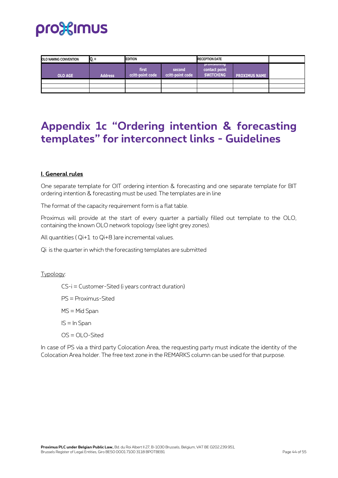

| OLO NAMING CONVENTION | $Q_i =$        | <b>EDITION</b>            |                            | <b>RECEPTION DATE</b>                             |                      |  |
|-----------------------|----------------|---------------------------|----------------------------|---------------------------------------------------|----------------------|--|
| <b>OLO AGE</b>        | <b>Address</b> | first<br>ccitt-point code | second<br>ccitt-point code | provisioning<br>contact point<br><b>SWITCHING</b> | <b>PROXIMUS NAME</b> |  |
|                       |                |                           |                            |                                                   |                      |  |
|                       |                |                           |                            |                                                   |                      |  |

## <span id="page-43-0"></span>**Appendix 1c "Ordering intention & forecasting templates" for interconnect links - Guidelines**

#### **I. General rules**

One separate template for OIT ordering intention & forecasting and one separate template for BIT ordering intention & forecasting must be used. The templates are in line

The format of the capacity requirement form is a flat table.

Proximus will provide at the start of every quarter a partially filled out template to the OLO, containing the known OLO network topology (see light grey zones).

All quantities ( Qi+1 to Qi+8 )are incremental values.

Qi is the quarter in which the forecasting templates are submitted

#### Typology:

CS-i = Customer-Sited (i years contract duration)

PS = Proximus-Sited

MS = Mid Span

 $IS = In Span$ 

OS = OLO-Sited

In case of PS via a third party Colocation Area, the requesting party must indicate the identity of the Colocation Area holder. The free text zone in the REMARKS column can be used for that purpose.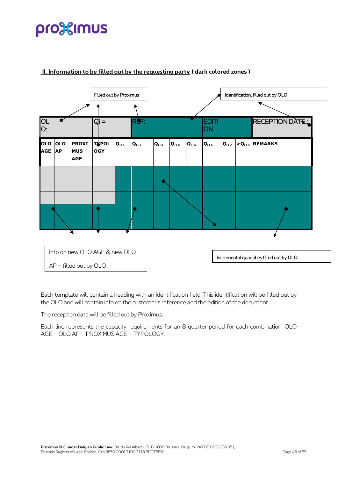

#### **II. Information to be filled out by the requesting party ( dark colored zones )**

Each template will contain a heading with an identification field. This identification will be filled out by the OLO and will contain info on the customer's reference and the edition of the document.

The reception date will be filled out by Proximus.

Each line represents the capacity requirements for an 8 quarter period for each combination: OLO AGE – OLO AP – PROXIMUS AGE – TYPOLOGY.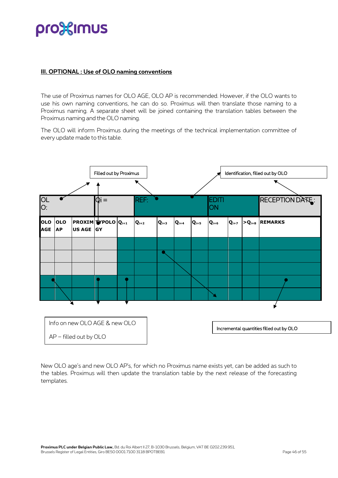#### **III. OPTIONAL : Use of OLO naming conventions**

The use of Proximus names for OLO AGE, OLO AP is recommended. However, if the OLO wants to use his own naming conventions, he can do so. Proximus will then translate those naming to a Proximus naming. A separate sheet will be joined containing the translation tables between the Proximus naming and the OLO naming.

The OLO will inform Proximus during the meetings of the technical implementation committee of every update made to this table.



New OLO age's and new OLO AP's, for which no Proximus name exists yet, can be added as such to the tables. Proximus will then update the translation table by the next release of the forecasting templates.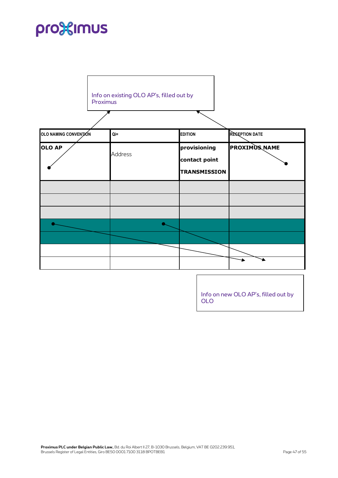| Proximus              | Info on existing OLO AP's, filled out by |                                                      |                      |
|-----------------------|------------------------------------------|------------------------------------------------------|----------------------|
| OLO NAMING CONVENTION | $Qi=$                                    | <b>EDITION</b>                                       | RESEPTION DATE       |
| <b>OLO AP</b>         | <b>Address</b>                           | provisioning<br>contact point<br><b>TRANSMISSION</b> | <b>PROXIMUS NAME</b> |
|                       |                                          |                                                      |                      |
|                       |                                          |                                                      |                      |
|                       |                                          |                                                      |                      |
|                       |                                          |                                                      |                      |

Info on new OLO AP's, filled out by OLO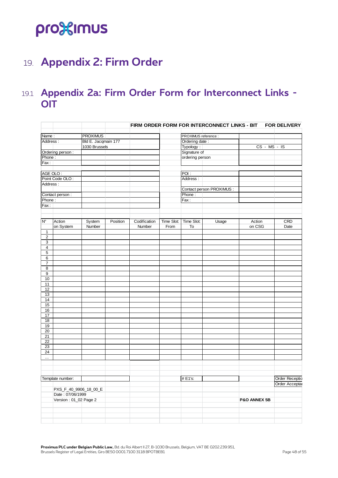## <span id="page-47-0"></span>19. **Appendix 2: Firm Order**

### <span id="page-47-1"></span>19.1 **Appendix 2a: Firm Order Form for Interconnect Links - OIT**

|                              |                       |          |              |            |                      | FIRM ORDER FORM FOR INTERCONNECT LINKS - BIT |                | <b>FOR DELIVERY</b> |
|------------------------------|-----------------------|----------|--------------|------------|----------------------|----------------------------------------------|----------------|---------------------|
| Name:                        | <b>PROXIMUS</b>       |          |              |            | PROXIMUS reference : |                                              |                |                     |
| Address:                     | Bld E. Jacqmain 177   |          |              |            | Ordering date:       |                                              |                |                     |
|                              | 1030 Brussels         |          |              |            | Typology:            |                                              | $CS - MS - IS$ |                     |
| Ordering person :            |                       |          |              |            | Signature of         |                                              |                |                     |
| Phone:                       |                       |          |              |            | ordering person      |                                              |                |                     |
| Fax:                         |                       |          |              |            |                      |                                              |                |                     |
|                              |                       |          |              |            |                      |                                              |                |                     |
| AGE OLO:                     |                       |          |              |            | POI:                 |                                              |                |                     |
| Point Code OLO:              |                       |          |              |            | Address:             |                                              |                |                     |
| Address:                     |                       |          |              |            |                      |                                              |                |                     |
|                              |                       |          |              |            |                      | Contact person PROXIMUS :                    |                |                     |
| Contact person:              |                       |          |              |            | Phone:               |                                              |                |                     |
| Phone:                       |                       |          |              |            | Fax:                 |                                              |                |                     |
| Fax:                         |                       |          |              |            |                      |                                              |                |                     |
|                              |                       |          |              |            |                      |                                              |                |                     |
|                              |                       |          |              |            |                      |                                              |                |                     |
| $\mathsf{N}^\circ$<br>Action | System                | Position | Codification | Time Slot: | Time Slot:           | Usage                                        | Action         | CRD                 |
| on System                    | Number                |          | Number       | From       | To                   |                                              | on CSG         | Date                |
| $\mathbf{1}$                 |                       |          |              |            |                      |                                              |                |                     |
| $\sqrt{2}$                   |                       |          |              |            |                      |                                              |                |                     |
| 3                            |                       |          |              |            |                      |                                              |                |                     |
| $\overline{\mathbf{4}}$      |                       |          |              |            |                      |                                              |                |                     |
| 5                            |                       |          |              |            |                      |                                              |                |                     |
| 6                            |                       |          |              |            |                      |                                              |                |                     |
| $\overline{7}$               |                       |          |              |            |                      |                                              |                |                     |
| 8                            |                       |          |              |            |                      |                                              |                |                     |
| 9                            |                       |          |              |            |                      |                                              |                |                     |
| 10                           |                       |          |              |            |                      |                                              |                |                     |
| 11                           |                       |          |              |            |                      |                                              |                |                     |
| 12                           |                       |          |              |            |                      |                                              |                |                     |
| 13                           |                       |          |              |            |                      |                                              |                |                     |
| 14                           |                       |          |              |            |                      |                                              |                |                     |
| 15                           |                       |          |              |            |                      |                                              |                |                     |
| 16                           |                       |          |              |            |                      |                                              |                |                     |
| $17$<br>18                   |                       |          |              |            |                      |                                              |                |                     |
| 19                           |                       |          |              |            |                      |                                              |                |                     |
| $\overline{20}$              |                       |          |              |            |                      |                                              |                |                     |
| 21                           |                       |          |              |            |                      |                                              |                |                     |
| 22                           |                       |          |              |            |                      |                                              |                |                     |
| 23                           |                       |          |              |            |                      |                                              |                |                     |
| 24                           |                       |          |              |            |                      |                                              |                |                     |
| $\ldots$                     |                       |          |              |            |                      |                                              |                |                     |
|                              |                       |          |              |            |                      |                                              |                |                     |
|                              |                       |          |              |            |                      |                                              |                |                     |
|                              |                       |          |              |            |                      |                                              |                |                     |
| Template number:             |                       |          |              |            | # E1's:              |                                              |                | Order Receptic      |
|                              |                       |          |              |            |                      |                                              |                | Order Acceptal      |
|                              | PXS_F_40_9906_18_00_E |          |              |            |                      |                                              |                |                     |
| Date: 07/06/1999             |                       |          |              |            |                      |                                              |                |                     |
| Version: 01_02 Page 2        |                       |          |              |            |                      |                                              | P&O ANNEX 5B   |                     |
|                              |                       |          |              |            |                      |                                              |                |                     |
|                              |                       |          |              |            |                      |                                              |                |                     |
|                              |                       |          |              |            |                      |                                              |                |                     |
|                              |                       |          |              |            |                      |                                              |                |                     |
|                              |                       |          |              |            |                      |                                              |                |                     |

**Proximus PLC under Belgian Public Law,** Bd. du Roi Albert II 27, B-1030 Brussels, Belgium, VAT BE 0202.239.951, Brussels Register of Legal Entities, Giro BE50 0001 7100 3118 BPOTBEB1 Page 48 of 55 Page 48 of 55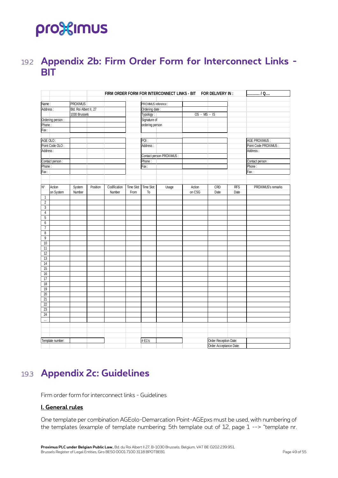## <span id="page-48-0"></span>19.2 **Appendix 2b: Firm Order Form for Interconnect Links - BIT**

|                            |                  |                                         |          |                                        |            |                 | FIRM ORDER FORM FOR INTERCONNECT LINKS - BIT FOR DELIVERY IN : |        |                        |            | $ /Q$                 |
|----------------------------|------------------|-----------------------------------------|----------|----------------------------------------|------------|-----------------|----------------------------------------------------------------|--------|------------------------|------------|-----------------------|
|                            |                  | PROXIMUS                                |          |                                        |            |                 |                                                                |        |                        |            |                       |
| Name:<br>Address:          |                  |                                         |          | PROXIMUS reference :<br>Ordering date: |            |                 |                                                                |        |                        |            |                       |
|                            |                  | Bld. Roi Albert II, 27<br>1030 Brussels |          |                                        | Typology:  |                 | OS - MS - IS                                                   |        |                        |            |                       |
|                            |                  |                                         |          |                                        |            |                 |                                                                |        |                        |            |                       |
| Ordering person:<br>Phone: |                  |                                         |          |                                        |            | Signature of    |                                                                |        |                        |            |                       |
|                            |                  |                                         |          |                                        |            | ordering person |                                                                |        |                        |            |                       |
| Fax:                       |                  |                                         |          |                                        |            |                 |                                                                |        |                        |            |                       |
|                            |                  |                                         |          |                                        |            |                 |                                                                |        |                        |            |                       |
| AGE OLO:                   |                  |                                         |          |                                        |            | POI:            |                                                                |        |                        |            | AGE PROXIMUS:         |
| Point Code OLO:            |                  |                                         |          |                                        |            | Address:        |                                                                |        |                        |            | Point Code PROXIMUS : |
|                            | Address:         |                                         |          |                                        |            |                 |                                                                |        |                        |            | Address:              |
|                            |                  |                                         |          |                                        |            |                 | Contact person PROXIMUS :                                      |        |                        |            |                       |
| Contact person :           |                  |                                         |          |                                        |            | Phone:          |                                                                |        |                        |            | Contact person :      |
| Phone:                     |                  |                                         |          |                                        |            | Fax:            |                                                                |        |                        |            | Phone:                |
| Fax:                       |                  |                                         |          |                                        |            |                 |                                                                |        |                        |            | Fax:                  |
|                            |                  |                                         |          |                                        |            |                 |                                                                |        |                        |            |                       |
|                            |                  |                                         |          |                                        |            |                 |                                                                |        |                        |            |                       |
| $\mathsf{N}^\circ$         | Action           | System                                  | Position | Codification                           | Time Slot: | Time Slot:      | Usage                                                          | Action | CRD                    | <b>RFS</b> | PROXIMUS's remarks    |
|                            | on System        | Number                                  |          | Number                                 | From       | To              |                                                                | on CSG | Date                   | Date       |                       |
| $\mathbf{1}$               |                  |                                         |          |                                        |            |                 |                                                                |        |                        |            |                       |
| $\overline{2}$             |                  |                                         |          |                                        |            |                 |                                                                |        |                        |            |                       |
| 3                          |                  |                                         |          |                                        |            |                 |                                                                |        |                        |            |                       |
| $\sqrt{4}$                 |                  |                                         |          |                                        |            |                 |                                                                |        |                        |            |                       |
| $\mathbf 5$                |                  |                                         |          |                                        |            |                 |                                                                |        |                        |            |                       |
| 6                          |                  |                                         |          |                                        |            |                 |                                                                |        |                        |            |                       |
| $\overline{7}$             |                  |                                         |          |                                        |            |                 |                                                                |        |                        |            |                       |
| 8                          |                  |                                         |          |                                        |            |                 |                                                                |        |                        |            |                       |
| 9                          |                  |                                         |          |                                        |            |                 |                                                                |        |                        |            |                       |
| 10                         |                  |                                         |          |                                        |            |                 |                                                                |        |                        |            |                       |
| 11                         |                  |                                         |          |                                        |            |                 |                                                                |        |                        |            |                       |
| 12                         |                  |                                         |          |                                        |            |                 |                                                                |        |                        |            |                       |
| 13                         |                  |                                         |          |                                        |            |                 |                                                                |        |                        |            |                       |
| 14                         |                  |                                         |          |                                        |            |                 |                                                                |        |                        |            |                       |
| 15                         |                  |                                         |          |                                        |            |                 |                                                                |        |                        |            |                       |
| 16                         |                  |                                         |          |                                        |            |                 |                                                                |        |                        |            |                       |
| 17                         |                  |                                         |          |                                        |            |                 |                                                                |        |                        |            |                       |
| $18\,$                     |                  |                                         |          |                                        |            |                 |                                                                |        |                        |            |                       |
| 19                         |                  |                                         |          |                                        |            |                 |                                                                |        |                        |            |                       |
| $20\,$                     |                  |                                         |          |                                        |            |                 |                                                                |        |                        |            |                       |
| 21                         |                  |                                         |          |                                        |            |                 |                                                                |        |                        |            |                       |
| 22                         |                  |                                         |          |                                        |            |                 |                                                                |        |                        |            |                       |
| 23                         |                  |                                         |          |                                        |            |                 |                                                                |        |                        |            |                       |
| 24                         |                  |                                         |          |                                        |            |                 |                                                                |        |                        |            |                       |
| $\ddotsc$                  |                  |                                         |          |                                        |            |                 |                                                                |        |                        |            |                       |
|                            |                  |                                         |          |                                        |            |                 |                                                                |        |                        |            |                       |
|                            |                  |                                         |          |                                        |            |                 |                                                                |        |                        |            |                       |
|                            |                  |                                         |          |                                        |            |                 |                                                                |        |                        |            |                       |
|                            | Template number: |                                         |          |                                        |            | # E1's:         |                                                                |        | Order Reception Date:  |            |                       |
|                            |                  |                                         |          |                                        |            |                 |                                                                |        | Order Acceptance Date: |            |                       |
|                            |                  |                                         |          |                                        |            |                 |                                                                |        |                        |            |                       |

## <span id="page-48-1"></span>19.3 **Appendix 2c: Guidelines**

Firm order form for interconnect links - Guidelines

#### **I. General rules**

One template per combination AGEolo-Demarcation Point-AGEpxs must be used, with numbering of the templates (example of template numbering: 5th template out of 12, page 1 --> "template nr.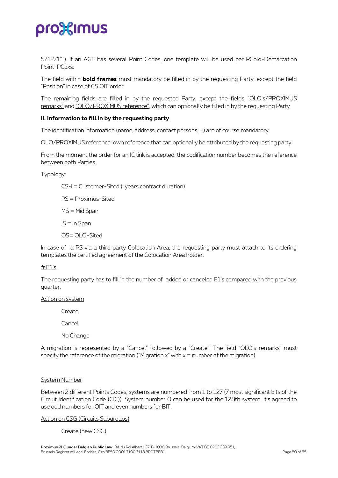5/12/1" ). If an AGE has several Point Codes, one template will be used per PColo-Demarcation Point-PCpxs.

The field within **bold frames** must mandatory be filled in by the requesting Party, except the field "Position" in case of CS OIT order.

The remaining fields are filled in by the requested Party, except the fields "OLO's/PROXIMUS remarks" and "OLO/PROXIMUS reference", which can optionally be filled in by the requesting Party.

#### **II. Information to fill in by the requesting party**

The identification information (name, address, contact persons, ...) are of course mandatory.

OLO/PROXIMUS reference: own reference that can optionally be attributed by the requesting party.

From the moment the order for an IC link is accepted, the codification number becomes the reference between both Parties.

Typology:

CS-i = Customer-Sited (i years contract duration) PS = Proximus-Sited MS = Mid Span IS = In Span

OS= OLO-Sited

In case of a PS via a third party Colocation Area, the requesting party must attach to its ordering templates the certified agreement of the Colocation Area holder.

#### # E1's

The requesting party has to fill in the number of added or canceled E1's compared with the previous quarter.

#### Action on system

Create

Cancel

No Change

A migration is represented by a "Cancel" followed by a "Create". The field "OLO's remarks" must specify the reference of the migration ("Migration  $x$ " with  $x =$  number of the migration).

#### System Number

Between 2 different Points Codes, systems are numbered from 1 to 127 (7 most significant bits of the Circuit Identification Code (CIC)). System number 0 can be used for the 128th system. It's agreed to use odd numbers for OIT and even numbers for BIT.

#### Action on CSG (Circuits Subgroups)

Create (new CSG)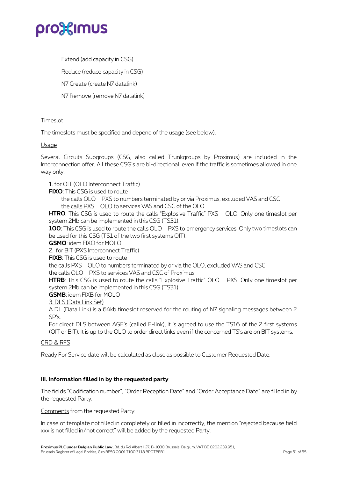

Extend (add capacity in CSG)

Reduce (reduce capacity in CSG)

N7 Create (create N7 datalink)

N7 Remove (remove N7 datalink)

#### **Timeslot**

The timeslots must be specified and depend of the usage (see below).

#### Usage

Several Circuits Subgroups (CSG, also called Trunkgroups by Proximus) are included in the Interconnection offer. All these CSG's are bi-directional, even if the traffic is sometimes allowed in one way only.

#### 1. for OIT (OLO Interconnect Traffic)

#### **FIXO**: This CSG is used to route

the calls OLO PXS to numbers terminated by or via Proximus, excluded VAS and CSC

the calls  $PXS$   $\Box$  OLO to services VAS and CSC of the OLO

**HTRO:** This CSG is used to route the calls "Explosive Traffic" PXS OLO. Only one timeslot per system 2Mb can be implemented in this CSG (TS31).

100: This CSG is used to route the calls OLO PXS to emergency services. Only two timeslots can be used for this CSG (TS1 of the two first systems OIT).

**GSMO**: idem FIXO for MOLO

2. for BIT (PXS Interconnect Traffic)

**FIXB**: This CSG is used to route

the calls PXS OLO to numbers terminated by or via the OLO, excluded VAS and CSC

the calls OLO PXS to services VAS and CSC of Proximus

**HTRB:** This CSG is used to route the calls "Explosive Traffic" OLO PXS. Only one timeslot per system 2Mb can be implemented in this CSG (TS31).

**GSMB**: idem FIXB for MOLO

3. DLS (Data Link Set)

A DL (Data Link) is a 64kb timeslot reserved for the routing of N7 signaling messages between 2 SP's.

For direct DLS between AGE's (called F-link), it is agreed to use the TS16 of the 2 first systems (OIT or BIT). It is up to the OLO to order direct links even if the concerned TS's are on BIT systems.

#### CRD & RFS

Ready For Service date will be calculated as close as possible to Customer Requested Date.

#### **III. Information filled in by the requested party**

The fields "Codification number", "Order Reception Date" and "Order Acceptance Date" are filled in by the requested Party.

Comments from the requested Party:

In case of template not filled in completely or filled in incorrectly, the mention "rejected because field xxx is not filled in/not correct" will be added by the requested Party.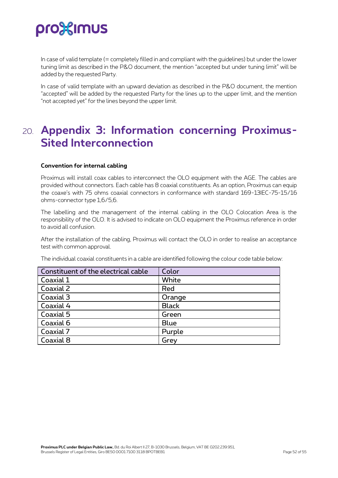In case of valid template (= completely filled in and compliant with the guidelines) but under the lower tuning limit as described in the P&O document, the mention "accepted but under tuning limit" will be added by the requested Party.

In case of valid template with an upward deviation as described in the P&O document, the mention "accepted" will be added by the requested Party for the lines up to the upper limit, and the mention "not accepted yet" for the lines beyond the upper limit.

## <span id="page-51-0"></span>20. **Appendix 3: Information concerning Proximus-Sited Interconnection**

#### **Convention for internal cabling**

Proximus will install coax cables to interconnect the OLO equipment with the AGE. The cables are provided without connectors. Each cable has 8 coaxial constituents. As an option, Proximus can equip the coaxe's with 75 ohms coaxial connectors in conformance with standard 169-13IEC-75-15/16 ohms-connector type 1,6/5,6.

The labelling and the management of the internal cabling in the OLO Colocation Area is the responsibility of the OLO. It is advised to indicate on OLO equipment the Proximus reference in order to avoid all confusion.

After the installation of the cabling, Proximus will contact the OLO in order to realise an acceptance test with common approval.

The individual coaxial constituents in a cable are identified following the colour code table below:

| Constituent of the electrical cable | Color        |
|-------------------------------------|--------------|
| Coaxial 1                           | White        |
| Coaxial 2                           | Red          |
| Coaxial 3                           | Orange       |
| Coaxial 4                           | <b>Black</b> |
| Coaxial 5                           | Green        |
| Coaxial 6                           | <b>Blue</b>  |
| Coaxial 7                           | Purple       |
| Coaxial 8                           | Grey         |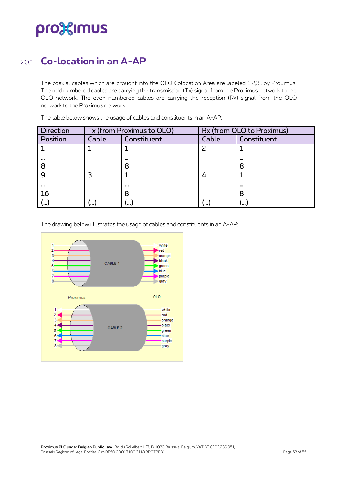### <span id="page-52-0"></span>20.1 **Co-location in an A-AP**

The coaxial cables which are brought into the OLO Colocation Area are labeled 1,2,3.. by Proximus. The odd numbered cables are carrying the transmission (Tx) signal from the Proximus network to the OLO network. The even numbered cables are carrying the reception (Rx) signal from the OLO network to the Proximus network.

| <b>Direction</b> |         | Tx (from Proximus to OLO) |          | Rx (from OLO to Proximus) |  |  |
|------------------|---------|---------------------------|----------|---------------------------|--|--|
| Position         | Cable   | Constituent               | Cable    | Constituent               |  |  |
|                  |         |                           |          |                           |  |  |
| $\cdots$         |         | $\cdots$                  |          |                           |  |  |
| 8                |         | 8                         |          | 8                         |  |  |
|                  |         |                           |          |                           |  |  |
| $\cdots$         |         | $\cdots$                  |          | $\cdots$                  |  |  |
| <b>16</b>        |         | 8                         |          | 8                         |  |  |
| ر…ا              | <b></b> | 、…                        | $\cdots$ | い…                        |  |  |

The table below shows the usage of cables and constituents in an A-AP:

The drawing below illustrates the usage of cables and constituents in an A-AP:

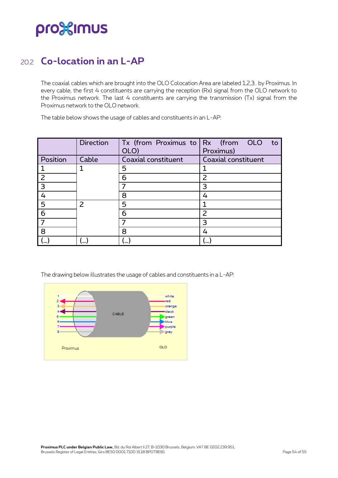### <span id="page-53-0"></span>20.2 **Co-location in an L-AP**

The coaxial cables which are brought into the OLO Colocation Area are labeled 1,2,3.. by Proximus. In every cable, the first 4 constituents are carrying the reception (Rx) signal from the OLO network to the Proximus network. The last 4 constituents are carrying the transmission (Tx) signal from the Proximus network to the OLO network.

The table below shows the usage of cables and constituents in an L-AP:

|                         | <b>Direction</b> | Tx (from Proximus to $Rx$ (from OLO<br>OLO) | to<br>Proximus)          |
|-------------------------|------------------|---------------------------------------------|--------------------------|
| Position                | Cable            | Coaxial constituent                         | Coaxial constituent      |
|                         |                  | 5                                           |                          |
| $\overline{2}$          |                  | 6                                           | $\overline{\phantom{0}}$ |
| $\overline{\mathbf{3}}$ |                  |                                             | 3                        |
| $\overline{4}$          |                  | 8                                           | 4                        |
| $5\phantom{1}$          | $\mathcal{P}$    | 5                                           |                          |
| 6                       |                  | 6                                           | $\overline{2}$           |
| 7                       |                  |                                             | 3                        |
| 8                       |                  | 8                                           | 4                        |
|                         |                  |                                             |                          |

The drawing below illustrates the usage of cables and constituents in a L-AP: